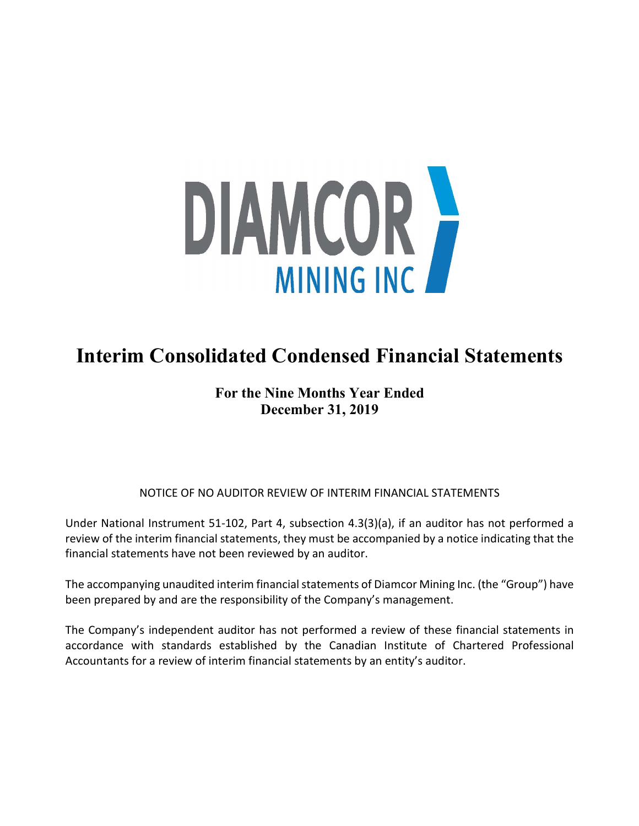

# **Interim Consolidated Condensed Financial Statements**

# **For the Nine Months Year Ended December 31, 2019**

# NOTICE OF NO AUDITOR REVIEW OF INTERIM FINANCIAL STATEMENTS

Under National Instrument 51-102, Part 4, subsection 4.3(3)(a), if an auditor has not performed a review of the interim financial statements, they must be accompanied by a notice indicating that the financial statements have not been reviewed by an auditor.

The accompanying unaudited interim financial statements of Diamcor Mining Inc. (the "Group") have been prepared by and are the responsibility of the Company's management.

The Company's independent auditor has not performed a review of these financial statements in accordance with standards established by the Canadian Institute of Chartered Professional Accountants for a review of interim financial statements by an entity's auditor.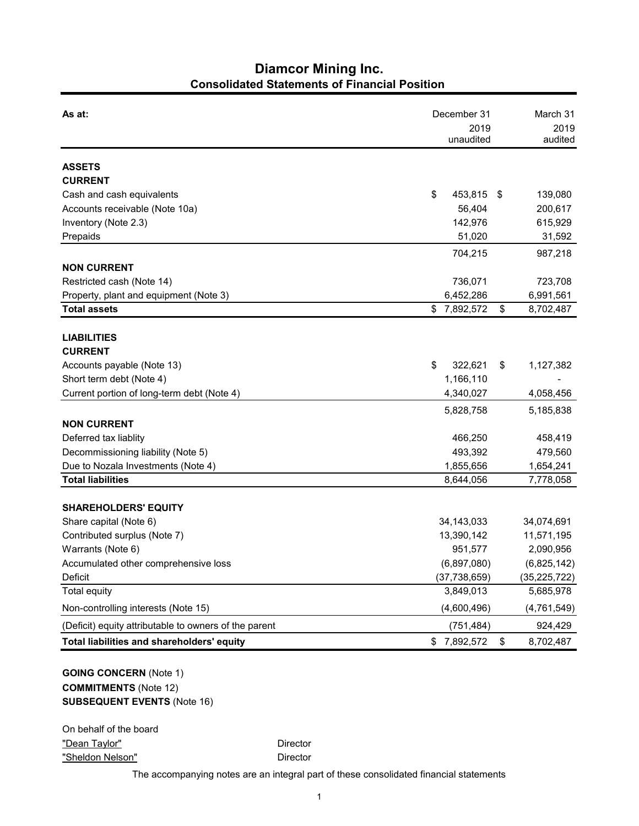# **Diamcor Mining Inc. Consolidated Statements of Financial Position**

| <b>ASSETS</b><br><b>CURRENT</b><br>Cash and cash equivalents<br>Accounts receivable (Note 10a) | 2019<br>unaudited<br>\$<br>453,815<br>56,404<br>142,976<br>51,020<br>704,215 | \$<br>2019<br>audited<br>139,080<br>200,617<br>615,929<br>31,592 |
|------------------------------------------------------------------------------------------------|------------------------------------------------------------------------------|------------------------------------------------------------------|
|                                                                                                |                                                                              |                                                                  |
|                                                                                                |                                                                              |                                                                  |
|                                                                                                |                                                                              |                                                                  |
|                                                                                                |                                                                              |                                                                  |
|                                                                                                |                                                                              |                                                                  |
| Inventory (Note 2.3)                                                                           |                                                                              |                                                                  |
| Prepaids                                                                                       |                                                                              |                                                                  |
|                                                                                                |                                                                              | 987,218                                                          |
| <b>NON CURRENT</b>                                                                             |                                                                              |                                                                  |
| Restricted cash (Note 14)                                                                      | 736,071                                                                      | 723,708                                                          |
| Property, plant and equipment (Note 3)                                                         | 6,452,286                                                                    | 6,991,561                                                        |
| <b>Total assets</b>                                                                            | \$7,892,572                                                                  | \$<br>8,702,487                                                  |
|                                                                                                |                                                                              |                                                                  |
| <b>LIABILITIES</b><br><b>CURRENT</b>                                                           |                                                                              |                                                                  |
| Accounts payable (Note 13)                                                                     | \$<br>322,621                                                                | \$<br>1,127,382                                                  |
| Short term debt (Note 4)                                                                       | 1,166,110                                                                    |                                                                  |
| Current portion of long-term debt (Note 4)                                                     | 4,340,027                                                                    | 4,058,456                                                        |
|                                                                                                |                                                                              |                                                                  |
|                                                                                                | 5,828,758                                                                    | 5,185,838                                                        |
| <b>NON CURRENT</b>                                                                             |                                                                              |                                                                  |
| Deferred tax liablity<br>Decommissioning liability (Note 5)                                    | 466,250<br>493,392                                                           | 458,419<br>479,560                                               |
| Due to Nozala Investments (Note 4)                                                             | 1,855,656                                                                    | 1,654,241                                                        |
| <b>Total liabilities</b>                                                                       | 8,644,056                                                                    | 7,778,058                                                        |
|                                                                                                |                                                                              |                                                                  |
| <b>SHAREHOLDERS' EQUITY</b>                                                                    |                                                                              |                                                                  |
| Share capital (Note 6)                                                                         | 34, 143, 033                                                                 | 34,074,691                                                       |
| Contributed surplus (Note 7)                                                                   | 13,390,142                                                                   | 11,571,195                                                       |
| Warrants (Note 6)                                                                              | 951,577                                                                      | 2,090,956                                                        |
| Accumulated other comprehensive loss                                                           | (6,897,080)                                                                  | (6,825,142)                                                      |
| Deficit                                                                                        | (37, 738, 659)                                                               | (35, 225, 722)                                                   |
| Total equity                                                                                   | 3,849,013                                                                    | 5,685,978                                                        |
| Non-controlling interests (Note 15)                                                            | (4,600,496)                                                                  | (4, 761, 549)                                                    |
| (Deficit) equity attributable to owners of the parent                                          | (751, 484)                                                                   | 924,429                                                          |
| Total liabilities and shareholders' equity                                                     | \$7,892,572                                                                  | \$<br>8,702,487                                                  |

**GOING CONCERN** (Note 1) **COMMITMENTS** (Note 12) **SUBSEQUENT EVENTS** (Note 16)

On behalf of the board "Dean Taylor" **Director** Director "Sheldon Nelson" **Director** 

The accompanying notes are an integral part of these consolidated financial statements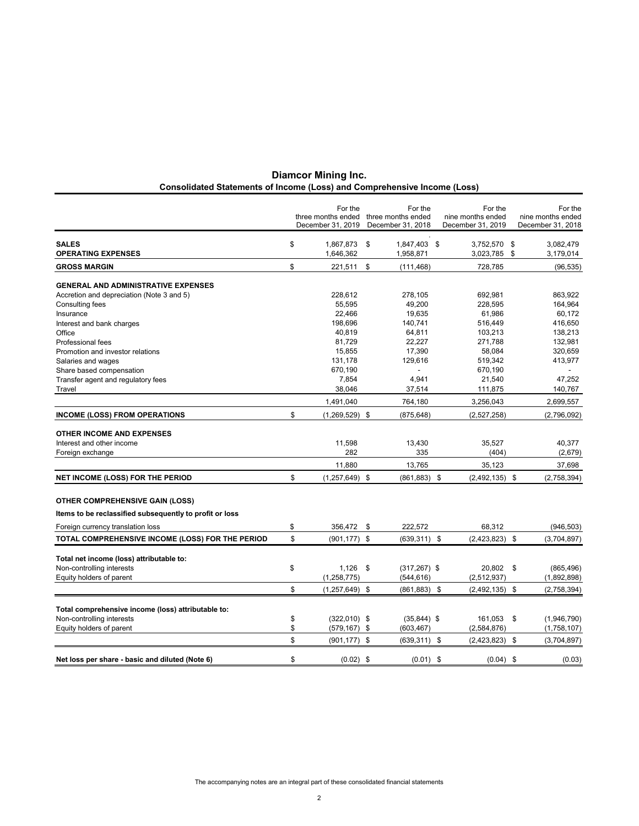|                                                                                                                                                                                     |                | For the<br>three months ended three months ended<br>December 31, 2019 |      | For the<br>December 31, 2018                               | For the<br>nine months ended<br>December 31, 2019             |          | For the<br>nine months ended<br>December 31, 2018             |
|-------------------------------------------------------------------------------------------------------------------------------------------------------------------------------------|----------------|-----------------------------------------------------------------------|------|------------------------------------------------------------|---------------------------------------------------------------|----------|---------------------------------------------------------------|
| <b>SALES</b><br><b>OPERATING EXPENSES</b>                                                                                                                                           | \$             | 1,867,873 \$<br>1,646,362                                             |      | 1,847,403 \$<br>1,958,871                                  | 3,752,570 \$<br>3,023,785 \$                                  |          | 3,082,479<br>3,179,014                                        |
| <b>GROSS MARGIN</b>                                                                                                                                                                 | \$             | 221,511                                                               | - \$ | (111, 468)                                                 | 728.785                                                       |          | (96, 535)                                                     |
| <b>GENERAL AND ADMINISTRATIVE EXPENSES</b><br>Accretion and depreciation (Note 3 and 5)<br>Consulting fees<br>Insurance<br>Interest and bank charges<br>Office<br>Professional fees |                | 228,612<br>55,595<br>22,466<br>198,696<br>40,819<br>81,729            |      | 278,105<br>49,200<br>19,635<br>140,741<br>64,811<br>22,227 | 692,981<br>228,595<br>61,986<br>516,449<br>103,213<br>271,788 |          | 863,922<br>164,964<br>60,172<br>416,650<br>138,213<br>132,981 |
| Promotion and investor relations<br>Salaries and wages<br>Share based compensation<br>Transfer agent and regulatory fees<br>Travel                                                  |                | 15,855<br>131,178<br>670,190<br>7,854<br>38,046                       |      | 17,390<br>129,616<br>4,941<br>37,514                       | 58,084<br>519,342<br>670,190<br>21,540<br>111,875             |          | 320,659<br>413,977<br>47,252<br>140,767                       |
| <b>INCOME (LOSS) FROM OPERATIONS</b>                                                                                                                                                | \$             | 1,491,040<br>$(1,269,529)$ \$                                         |      | 764,180<br>(875, 648)                                      | 3,256,043<br>(2,527,258)                                      |          | 2,699,557<br>(2,796,092)                                      |
| <b>OTHER INCOME AND EXPENSES</b><br>Interest and other income<br>Foreign exchange<br>NET INCOME (LOSS) FOR THE PERIOD                                                               | \$             | 11,598<br>282<br>11,880<br>$(1,257,649)$ \$                           |      | 13,430<br>335<br>13,765<br>$(861, 883)$ \$                 | 35,527<br>(404)<br>35,123<br>$(2,492,135)$ \$                 |          | 40,377<br>(2,679)<br>37,698<br>(2,758,394)                    |
| OTHER COMPREHENSIVE GAIN (LOSS)<br>Items to be reclassified subsequently to profit or loss<br>Foreign currency translation loss                                                     | \$             | 356,472 \$                                                            |      | 222,572                                                    | 68,312                                                        |          | (946, 503)                                                    |
| TOTAL COMPREHENSIVE INCOME (LOSS) FOR THE PERIOD                                                                                                                                    | \$             | $(901, 177)$ \$                                                       |      | $(639, 311)$ \$                                            | $(2,423,823)$ \$                                              |          | (3,704,897)                                                   |
| Total net income (loss) attributable to:<br>Non-controlling interests<br>Equity holders of parent                                                                                   | \$<br>\$       | 1,126<br>(1, 258, 775)<br>$(1,257,649)$ \$                            | \$   | $(317, 267)$ \$<br>(544, 616)<br>$(861, 883)$ \$           | 20,802 \$<br>(2,512,937)<br>$(2,492,135)$ \$                  |          | (865, 496)<br>(1,892,898)<br>(2,758,394)                      |
| Total comprehensive income (loss) attributable to:<br>Non-controlling interests<br>Equity holders of parent                                                                         | \$<br>\$<br>\$ | $(322,010)$ \$<br>$(579, 167)$ \$<br>(901, 177)                       | \$   | $(35,844)$ \$<br>(603, 467)<br>$(639, 311)$ \$             | 161,053<br>(2,584,876)<br>(2,423,823)                         | \$<br>\$ | (1,946,790)<br>(1,758,107)<br>(3,704,897)                     |
| Net loss per share - basic and diluted (Note 6)                                                                                                                                     | \$             | $(0.02)$ \$                                                           |      | $(0.01)$ \$                                                | $(0.04)$ \$                                                   |          | (0.03)                                                        |

# **Diamcor Mining Inc. Consolidated Statements of Income (Loss) and Comprehensive Income (Loss)**

The accompanying notes are an integral part of these consolidated financial statements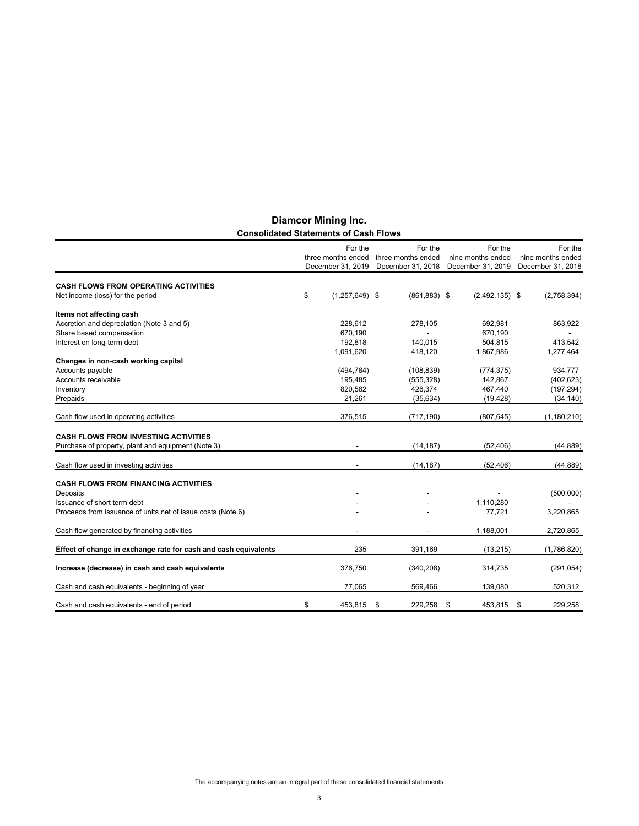|                                                                 | For the                                 | For the                                 | For the                                | For the                                |
|-----------------------------------------------------------------|-----------------------------------------|-----------------------------------------|----------------------------------------|----------------------------------------|
|                                                                 | three months ended<br>December 31, 2019 | three months ended<br>December 31, 2018 | nine months ended<br>December 31, 2019 | nine months ended<br>December 31, 2018 |
| <b>CASH FLOWS FROM OPERATING ACTIVITIES</b>                     |                                         |                                         |                                        |                                        |
| Net income (loss) for the period                                | \$<br>$(1,257,649)$ \$                  | $(861, 883)$ \$                         | $(2,492,135)$ \$                       | (2,758,394)                            |
| Items not affecting cash                                        |                                         |                                         |                                        |                                        |
| Accretion and depreciation (Note 3 and 5)                       | 228,612                                 | 278,105                                 | 692,981                                | 863,922                                |
| Share based compensation                                        | 670,190                                 |                                         | 670,190                                |                                        |
| Interest on long-term debt                                      | 192.818                                 | 140.015                                 | 504,815                                | 413,542                                |
|                                                                 | 1,091,620                               | 418,120                                 | 1,867,986                              | 1,277,464                              |
| Changes in non-cash working capital                             |                                         |                                         |                                        |                                        |
| Accounts payable                                                | (494, 784)                              | (108, 839)                              | (774, 375)                             | 934,777                                |
| Accounts receivable                                             | 195,485                                 | (555, 328)                              | 142,867                                | (402, 623)                             |
| Inventory                                                       | 820,582                                 | 426,374                                 | 467,440                                | (197, 294)                             |
| Prepaids                                                        | 21,261                                  | (35, 634)                               | (19, 428)                              | (34, 140)                              |
| Cash flow used in operating activities                          | 376,515                                 | (717, 190)                              | (807, 645)                             | (1, 180, 210)                          |
| <b>CASH FLOWS FROM INVESTING ACTIVITIES</b>                     |                                         |                                         |                                        |                                        |
| Purchase of property, plant and equipment (Note 3)              |                                         | (14, 187)                               | (52, 406)                              | (44, 889)                              |
| Cash flow used in investing activities                          |                                         | (14, 187)                               | (52, 406)                              | (44, 889)                              |
| <b>CASH FLOWS FROM FINANCING ACTIVITIES</b>                     |                                         |                                         |                                        |                                        |
| Deposits                                                        |                                         |                                         |                                        | (500,000)                              |
| Issuance of short term debt                                     |                                         |                                         | 1,110,280                              |                                        |
| Proceeds from issuance of units net of issue costs (Note 6)     |                                         |                                         | 77,721                                 | 3,220,865                              |
| Cash flow generated by financing activities                     |                                         |                                         | 1.188.001                              | 2,720,865                              |
| Effect of change in exchange rate for cash and cash equivalents | 235                                     | 391.169                                 | (13, 215)                              | (1,786,820)                            |
| Increase (decrease) in cash and cash equivalents                | 376,750                                 | (340, 208)                              | 314,735                                | (291, 054)                             |
| Cash and cash equivalents - beginning of year                   | 77,065                                  | 569,466                                 | 139,080                                | 520,312                                |
| Cash and cash equivalents - end of period                       | \$<br>453,815                           | 229,258<br>\$                           | 453,815<br>\$                          | 229,258<br>\$                          |

# **Diamcor Mining Inc. Consolidated Statements of Cash Flows**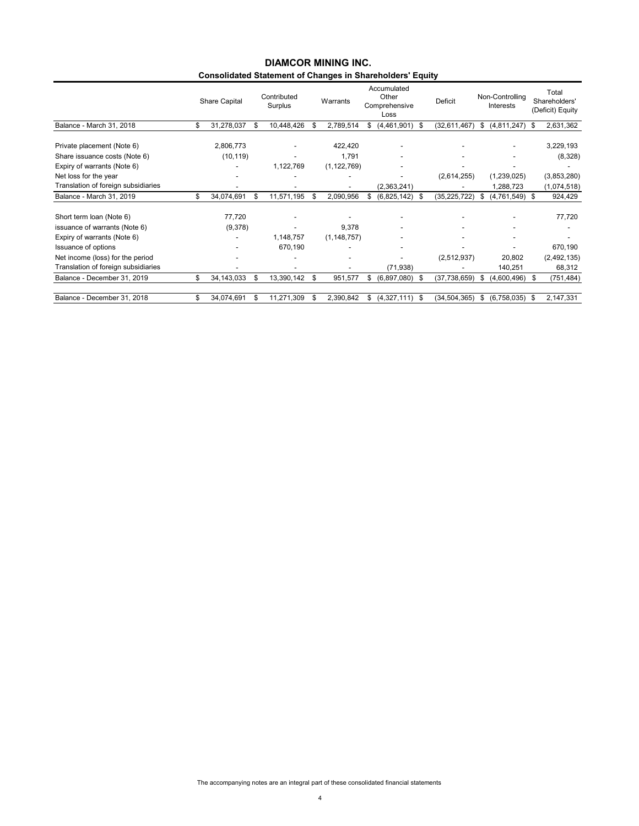# **Consolidated Statement of Changes in Shareholders' Equity DIAMCOR MINING INC.**

|                                                              | <b>Share Capital</b>   | Contributed<br>Surplus | Warrants         |   | Accumulated<br>Other<br>Comprehensive<br>Loss |      | Deficit        |    | Non-Controlling<br>Interests |      | Total<br>Shareholders'<br>(Deficit) Equity |
|--------------------------------------------------------------|------------------------|------------------------|------------------|---|-----------------------------------------------|------|----------------|----|------------------------------|------|--------------------------------------------|
| Balance - March 31, 2018                                     | \$<br>31,278,037       | \$<br>10,448,426       | 2,789,514        |   | (4,461,901)                                   |      | (32,611,467)   | \$ | (4,811,247)                  |      | 2,631,362                                  |
| Private placement (Note 6)<br>Share issuance costs (Note 6)  | 2,806,773<br>(10, 119) |                        | 422,420<br>1,791 |   |                                               |      |                |    |                              |      | 3,229,193<br>(8,328)                       |
| Expiry of warrants (Note 6)                                  |                        | 1,122,769              | (1, 122, 769)    |   |                                               |      |                |    |                              |      |                                            |
| Net loss for the year<br>Translation of foreign subsidiaries |                        |                        |                  |   | (2,363,241)                                   |      | (2,614,255)    |    | (1,239,025)<br>1,288,723     |      | (3,853,280)<br>(1,074,518)                 |
| Balance - March 31, 2019                                     | \$<br>34,074,691       | 11,571,195             | 2,090,956        |   | (6,825,142)                                   |      | (35, 225, 722) | S  | $(4,761,549)$ \$             |      | 924,429                                    |
| Short term loan (Note 6)<br>issuance of warrants (Note 6)    | 77,720<br>(9,378)      |                        | 9,378            |   |                                               |      |                |    |                              |      | 77,720                                     |
| Expiry of warrants (Note 6)                                  |                        | 1,148,757              | (1, 148, 757)    |   |                                               |      |                |    |                              |      |                                            |
| Issuance of options<br>Net income (loss) for the period      |                        | 670,190                |                  |   |                                               |      | (2,512,937)    |    | 20,802                       |      | 670,190<br>(2, 492, 135)                   |
| Translation of foreign subsidiaries                          |                        |                        |                  |   | (71, 938)                                     |      |                |    | 140,251                      |      | 68,312                                     |
| Balance - December 31, 2019                                  | \$<br>34, 143, 033     | \$<br>13,390,142       | 951,577          | S | (6,897,080)                                   | - SS | (37,738,659)   | S  | (4,600,496)                  |      | (751, 484)                                 |
| Balance - December 31, 2018                                  | \$<br>34,074,691       | 11,271,309             | 2,390,842        | S | (4,327,111)                                   | - \$ | (34, 504, 365) | \$ | (6,758,035)                  | - \$ | 2,147,331                                  |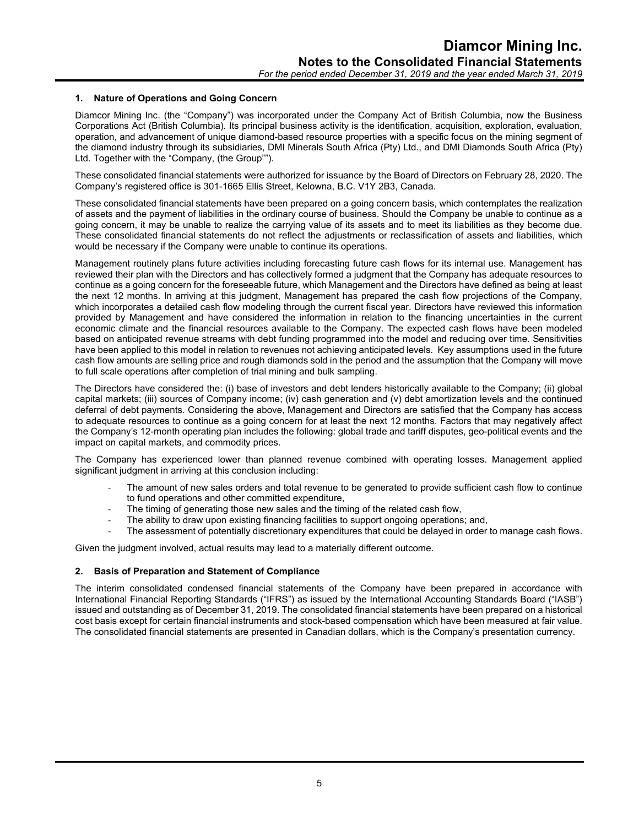#### **1. Nature of Operations and Going Concern**

Diamcor Mining Inc. (the "Company") was incorporated under the Company Act of British Columbia, now the Business Corporations Act (British Columbia). Its principal business activity is the identification, acquisition, exploration, evaluation, operation, and advancement of unique diamond-based resource properties with a specific focus on the mining segment of the diamond industry through its subsidiaries, DMI Minerals South Africa (Pty) Ltd., and DMI Diamonds South Africa (Pty) Ltd. Together with the "Company, (the Group"").

These consolidated financial statements were authorized for issuance by the Board of Directors on February 28, 2020. The Company's registered office is 301-1665 Ellis Street, Kelowna, B.C. V1Y 2B3, Canada.

These consolidated financial statements have been prepared on a going concern basis, which contemplates the realization of assets and the payment of liabilities in the ordinary course of business. Should the Company be unable to continue as a going concern, it may be unable to realize the carrying value of its assets and to meet its liabilities as they become due. These consolidated financial statements do not reflect the adjustments or reclassification of assets and liabilities, which would be necessary if the Company were unable to continue its operations.

Management routinely plans future activities including forecasting future cash flows for its internal use. Management has reviewed their plan with the Directors and has collectively formed a judgment that the Company has adequate resources to continue as a going concern for the foreseeable future, which Management and the Directors have defined as being at least the next 12 months. In arriving at this judgment, Management has prepared the cash flow projections of the Company, which incorporates a detailed cash flow modeling through the current fiscal year. Directors have reviewed this information provided by Management and have considered the information in relation to the financing uncertainties in the current economic climate and the financial resources available to the Company. The expected cash flows have been modeled based on anticipated revenue streams with debt funding programmed into the model and reducing over time. Sensitivities have been applied to this model in relation to revenues not achieving anticipated levels. Key assumptions used in the future cash flow amounts are selling price and rough diamonds sold in the period and the assumption that the Company will move to full scale operations after completion of trial mining and bulk sampling.

The Directors have considered the: (i) base of investors and debt lenders historically available to the Company; (ii) global capital markets; (iii) sources of Company income; (iv) cash generation and (v) debt amortization levels and the continued deferral of debt payments. Considering the above, Management and Directors are satisfied that the Company has access to adequate resources to continue as a going concern for at least the next 12 months. Factors that may negatively affect the Company's 12-month operating plan includes the following: global trade and tariff disputes, geo-political events and the impact on capital markets, and commodity prices.

The Company has experienced lower than planned revenue combined with operating losses. Management applied significant judgment in arriving at this conclusion including:

- The amount of new sales orders and total revenue to be generated to provide sufficient cash flow to continue to fund operations and other committed expenditure,
- The timing of generating those new sales and the timing of the related cash flow,
- The ability to draw upon existing financing facilities to support ongoing operations; and,
- The assessment of potentially discretionary expenditures that could be delayed in order to manage cash flows.

Given the judgment involved, actual results may lead to a materially different outcome.

# **2. Basis of Preparation and Statement of Compliance**

The interim consolidated condensed financial statements of the Company have been prepared in accordance with International Financial Reporting Standards ("IFRS") as issued by the International Accounting Standards Board ("IASB") issued and outstanding as of December 31, 2019. The consolidated financial statements have been prepared on a historical cost basis except for certain financial instruments and stock-based compensation which have been measured at fair value. The consolidated financial statements are presented in Canadian dollars, which is the Company's presentation currency.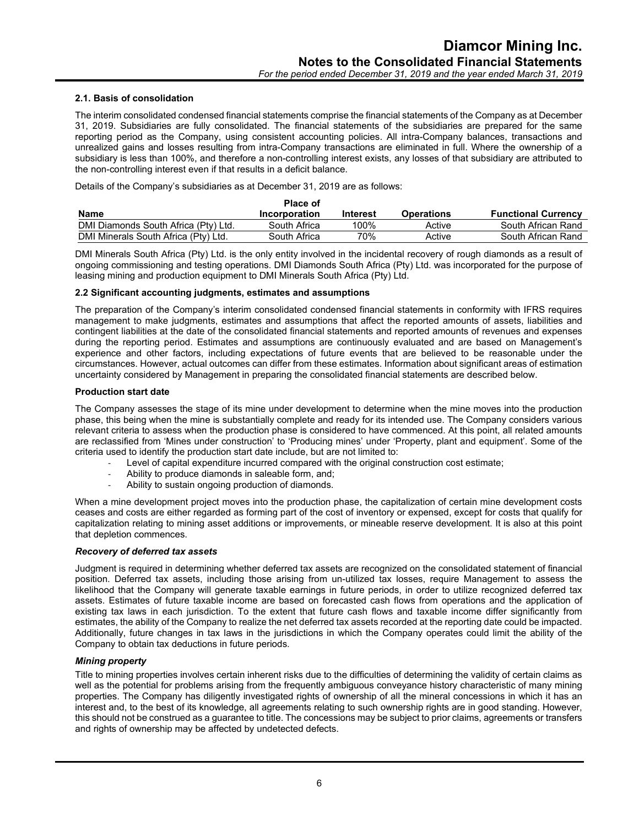#### **2.1. Basis of consolidation**

The interim consolidated condensed financial statements comprise the financial statements of the Company as at December 31, 2019. Subsidiaries are fully consolidated. The financial statements of the subsidiaries are prepared for the same reporting period as the Company, using consistent accounting policies. All intra-Company balances, transactions and unrealized gains and losses resulting from intra-Company transactions are eliminated in full. Where the ownership of a subsidiary is less than 100%, and therefore a non-controlling interest exists, any losses of that subsidiary are attributed to the non-controlling interest even if that results in a deficit balance.

Details of the Company's subsidiaries as at December 31, 2019 are as follows:

|                                      | Place of      |          |            |                            |
|--------------------------------------|---------------|----------|------------|----------------------------|
| <b>Name</b>                          | Incorporation | Interest | Operations | <b>Functional Currency</b> |
| DMI Diamonds South Africa (Pty) Ltd. | South Africa  | 100%     | Active     | South African Rand         |
| DMI Minerals South Africa (Pty) Ltd. | South Africa  | 70%      | Active     | South African Rand         |

DMI Minerals South Africa (Pty) Ltd. is the only entity involved in the incidental recovery of rough diamonds as a result of ongoing commissioning and testing operations. DMI Diamonds South Africa (Pty) Ltd. was incorporated for the purpose of leasing mining and production equipment to DMI Minerals South Africa (Pty) Ltd.

### **2.2 Significant accounting judgments, estimates and assumptions**

The preparation of the Company's interim consolidated condensed financial statements in conformity with IFRS requires management to make judgments, estimates and assumptions that affect the reported amounts of assets, liabilities and contingent liabilities at the date of the consolidated financial statements and reported amounts of revenues and expenses during the reporting period. Estimates and assumptions are continuously evaluated and are based on Management's experience and other factors, including expectations of future events that are believed to be reasonable under the circumstances. However, actual outcomes can differ from these estimates. Information about significant areas of estimation uncertainty considered by Management in preparing the consolidated financial statements are described below.

#### **Production start date**

The Company assesses the stage of its mine under development to determine when the mine moves into the production phase, this being when the mine is substantially complete and ready for its intended use. The Company considers various relevant criteria to assess when the production phase is considered to have commenced. At this point, all related amounts are reclassified from 'Mines under construction' to 'Producing mines' under 'Property, plant and equipment'. Some of the criteria used to identify the production start date include, but are not limited to:

- Level of capital expenditure incurred compared with the original construction cost estimate;
- Ability to produce diamonds in saleable form, and:
- Ability to sustain ongoing production of diamonds.

When a mine development project moves into the production phase, the capitalization of certain mine development costs ceases and costs are either regarded as forming part of the cost of inventory or expensed, except for costs that qualify for capitalization relating to mining asset additions or improvements, or mineable reserve development. It is also at this point that depletion commences.

## *Recovery of deferred tax assets*

Judgment is required in determining whether deferred tax assets are recognized on the consolidated statement of financial position. Deferred tax assets, including those arising from un-utilized tax losses, require Management to assess the likelihood that the Company will generate taxable earnings in future periods, in order to utilize recognized deferred tax assets. Estimates of future taxable income are based on forecasted cash flows from operations and the application of existing tax laws in each jurisdiction. To the extent that future cash flows and taxable income differ significantly from estimates, the ability of the Company to realize the net deferred tax assets recorded at the reporting date could be impacted. Additionally, future changes in tax laws in the jurisdictions in which the Company operates could limit the ability of the Company to obtain tax deductions in future periods.

#### *Mining property*

Title to mining properties involves certain inherent risks due to the difficulties of determining the validity of certain claims as well as the potential for problems arising from the frequently ambiguous conveyance history characteristic of many mining properties. The Company has diligently investigated rights of ownership of all the mineral concessions in which it has an interest and, to the best of its knowledge, all agreements relating to such ownership rights are in good standing. However, this should not be construed as a guarantee to title. The concessions may be subject to prior claims, agreements or transfers and rights of ownership may be affected by undetected defects.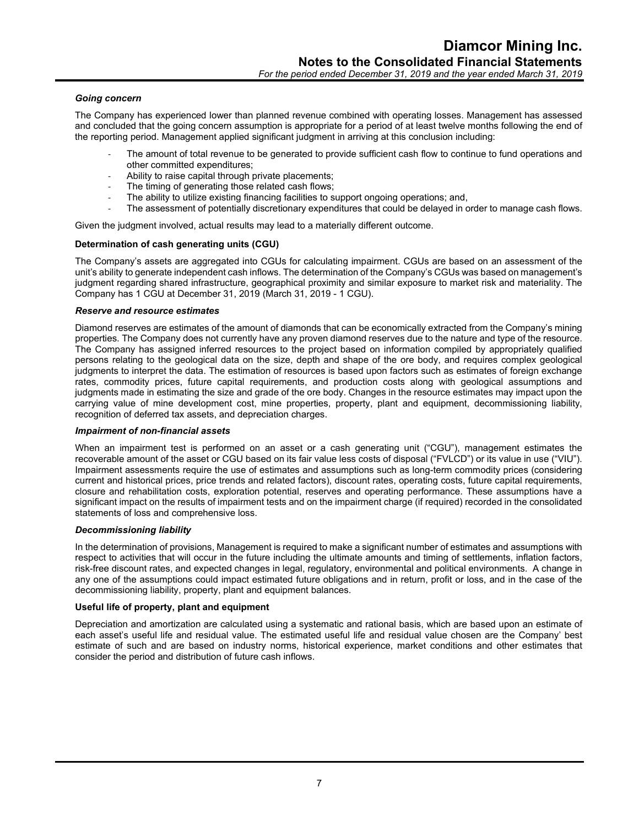#### *Going concern*

The Company has experienced lower than planned revenue combined with operating losses. Management has assessed and concluded that the going concern assumption is appropriate for a period of at least twelve months following the end of the reporting period. Management applied significant judgment in arriving at this conclusion including:

- The amount of total revenue to be generated to provide sufficient cash flow to continue to fund operations and other committed expenditures;
- Ability to raise capital through private placements;
- The timing of generating those related cash flows;
- The ability to utilize existing financing facilities to support ongoing operations; and,
- The assessment of potentially discretionary expenditures that could be delayed in order to manage cash flows.

Given the judgment involved, actual results may lead to a materially different outcome.

#### **Determination of cash generating units (CGU)**

The Company's assets are aggregated into CGUs for calculating impairment. CGUs are based on an assessment of the unit's ability to generate independent cash inflows. The determination of the Company's CGUs was based on management's judgment regarding shared infrastructure, geographical proximity and similar exposure to market risk and materiality. The Company has 1 CGU at December 31, 2019 (March 31, 2019 - 1 CGU).

#### *Reserve and resource estimates*

Diamond reserves are estimates of the amount of diamonds that can be economically extracted from the Company's mining properties. The Company does not currently have any proven diamond reserves due to the nature and type of the resource. The Company has assigned inferred resources to the project based on information compiled by appropriately qualified persons relating to the geological data on the size, depth and shape of the ore body, and requires complex geological judgments to interpret the data. The estimation of resources is based upon factors such as estimates of foreign exchange rates, commodity prices, future capital requirements, and production costs along with geological assumptions and judgments made in estimating the size and grade of the ore body. Changes in the resource estimates may impact upon the carrying value of mine development cost, mine properties, property, plant and equipment, decommissioning liability, recognition of deferred tax assets, and depreciation charges.

#### *Impairment of non-financial assets*

When an impairment test is performed on an asset or a cash generating unit ("CGU"), management estimates the recoverable amount of the asset or CGU based on its fair value less costs of disposal ("FVLCD") or its value in use ("VIU"). Impairment assessments require the use of estimates and assumptions such as long-term commodity prices (considering current and historical prices, price trends and related factors), discount rates, operating costs, future capital requirements, closure and rehabilitation costs, exploration potential, reserves and operating performance. These assumptions have a significant impact on the results of impairment tests and on the impairment charge (if required) recorded in the consolidated statements of loss and comprehensive loss.

#### *Decommissioning liability*

In the determination of provisions, Management is required to make a significant number of estimates and assumptions with respect to activities that will occur in the future including the ultimate amounts and timing of settlements, inflation factors, risk-free discount rates, and expected changes in legal, regulatory, environmental and political environments. A change in any one of the assumptions could impact estimated future obligations and in return, profit or loss, and in the case of the decommissioning liability, property, plant and equipment balances.

#### **Useful life of property, plant and equipment**

Depreciation and amortization are calculated using a systematic and rational basis, which are based upon an estimate of each asset's useful life and residual value. The estimated useful life and residual value chosen are the Company' best estimate of such and are based on industry norms, historical experience, market conditions and other estimates that consider the period and distribution of future cash inflows.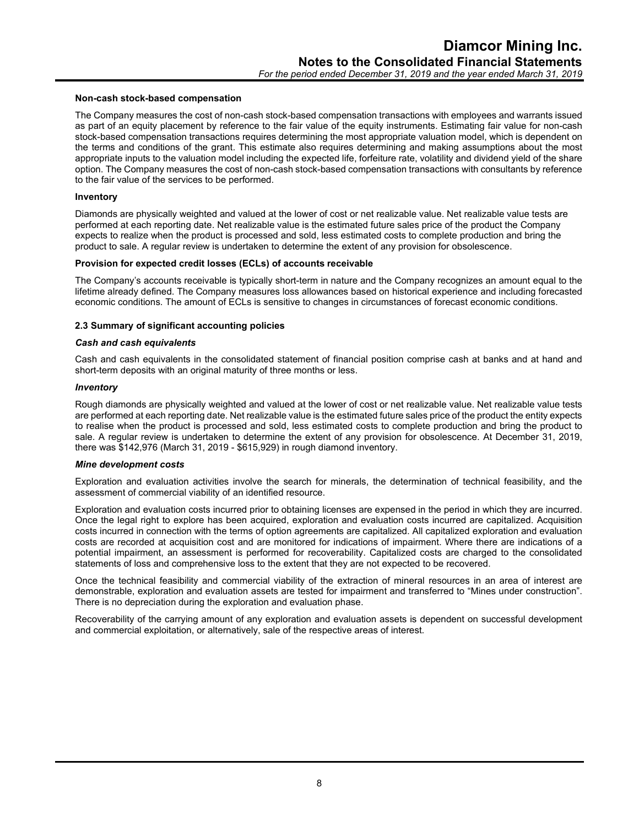#### **Non-cash stock-based compensation**

The Company measures the cost of non-cash stock-based compensation transactions with employees and warrants issued as part of an equity placement by reference to the fair value of the equity instruments. Estimating fair value for non-cash stock-based compensation transactions requires determining the most appropriate valuation model, which is dependent on the terms and conditions of the grant. This estimate also requires determining and making assumptions about the most appropriate inputs to the valuation model including the expected life, forfeiture rate, volatility and dividend yield of the share option. The Company measures the cost of non-cash stock-based compensation transactions with consultants by reference to the fair value of the services to be performed.

#### **Inventory**

Diamonds are physically weighted and valued at the lower of cost or net realizable value. Net realizable value tests are performed at each reporting date. Net realizable value is the estimated future sales price of the product the Company expects to realize when the product is processed and sold, less estimated costs to complete production and bring the product to sale. A regular review is undertaken to determine the extent of any provision for obsolescence.

#### **Provision for expected credit losses (ECLs) of accounts receivable**

The Company's accounts receivable is typically short-term in nature and the Company recognizes an amount equal to the lifetime already defined. The Company measures loss allowances based on historical experience and including forecasted economic conditions. The amount of ECLs is sensitive to changes in circumstances of forecast economic conditions.

#### **2.3 Summary of significant accounting policies**

#### *Cash and cash equivalents*

Cash and cash equivalents in the consolidated statement of financial position comprise cash at banks and at hand and short-term deposits with an original maturity of three months or less.

#### *Inventory*

Rough diamonds are physically weighted and valued at the lower of cost or net realizable value. Net realizable value tests are performed at each reporting date. Net realizable value is the estimated future sales price of the product the entity expects to realise when the product is processed and sold, less estimated costs to complete production and bring the product to sale. A regular review is undertaken to determine the extent of any provision for obsolescence. At December 31, 2019, there was \$142,976 (March 31, 2019 - \$615,929) in rough diamond inventory.

#### *Mine development costs*

Exploration and evaluation activities involve the search for minerals, the determination of technical feasibility, and the assessment of commercial viability of an identified resource.

Exploration and evaluation costs incurred prior to obtaining licenses are expensed in the period in which they are incurred. Once the legal right to explore has been acquired, exploration and evaluation costs incurred are capitalized. Acquisition costs incurred in connection with the terms of option agreements are capitalized. All capitalized exploration and evaluation costs are recorded at acquisition cost and are monitored for indications of impairment. Where there are indications of a potential impairment, an assessment is performed for recoverability. Capitalized costs are charged to the consolidated statements of loss and comprehensive loss to the extent that they are not expected to be recovered.

Once the technical feasibility and commercial viability of the extraction of mineral resources in an area of interest are demonstrable, exploration and evaluation assets are tested for impairment and transferred to "Mines under construction". There is no depreciation during the exploration and evaluation phase.

Recoverability of the carrying amount of any exploration and evaluation assets is dependent on successful development and commercial exploitation, or alternatively, sale of the respective areas of interest.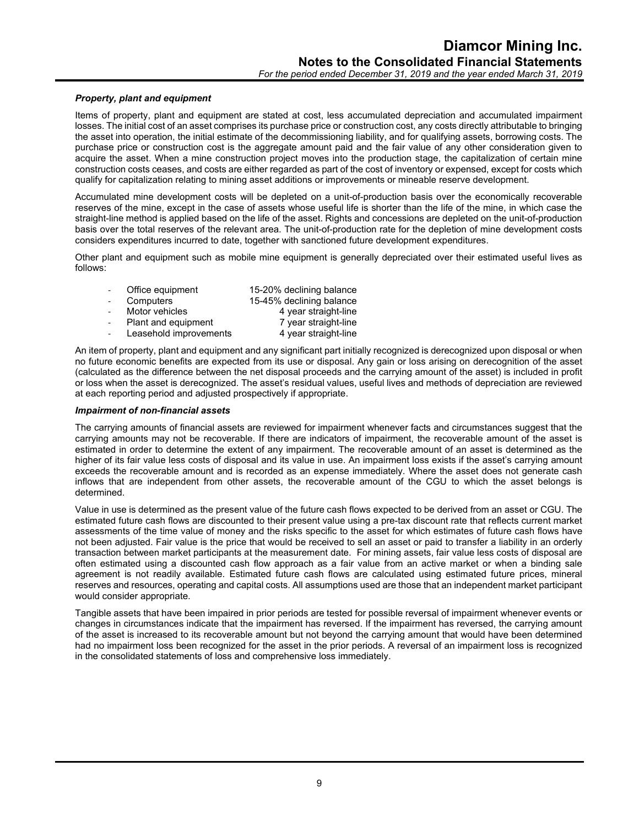#### *Property, plant and equipment*

Items of property, plant and equipment are stated at cost, less accumulated depreciation and accumulated impairment losses. The initial cost of an asset comprises its purchase price or construction cost, any costs directly attributable to bringing the asset into operation, the initial estimate of the decommissioning liability, and for qualifying assets, borrowing costs. The purchase price or construction cost is the aggregate amount paid and the fair value of any other consideration given to acquire the asset. When a mine construction project moves into the production stage, the capitalization of certain mine construction costs ceases, and costs are either regarded as part of the cost of inventory or expensed, except for costs which qualify for capitalization relating to mining asset additions or improvements or mineable reserve development.

Accumulated mine development costs will be depleted on a unit-of-production basis over the economically recoverable reserves of the mine, except in the case of assets whose useful life is shorter than the life of the mine, in which case the straight-line method is applied based on the life of the asset. Rights and concessions are depleted on the unit-of-production basis over the total reserves of the relevant area. The unit-of-production rate for the depletion of mine development costs considers expenditures incurred to date, together with sanctioned future development expenditures.

Other plant and equipment such as mobile mine equipment is generally depreciated over their estimated useful lives as follows:

| Office equipment       | 15-20% declining balance |
|------------------------|--------------------------|
| Computers              | 15-45% declining balance |
| Motor vehicles         | 4 year straight-line     |
| Plant and equipment    | 7 year straight-line     |
| Leasehold improvements | 4 year straight-line     |
|                        |                          |

An item of property, plant and equipment and any significant part initially recognized is derecognized upon disposal or when no future economic benefits are expected from its use or disposal. Any gain or loss arising on derecognition of the asset (calculated as the difference between the net disposal proceeds and the carrying amount of the asset) is included in profit or loss when the asset is derecognized. The asset's residual values, useful lives and methods of depreciation are reviewed at each reporting period and adjusted prospectively if appropriate.

#### *Impairment of non-financial assets*

The carrying amounts of financial assets are reviewed for impairment whenever facts and circumstances suggest that the carrying amounts may not be recoverable. If there are indicators of impairment, the recoverable amount of the asset is estimated in order to determine the extent of any impairment. The recoverable amount of an asset is determined as the higher of its fair value less costs of disposal and its value in use. An impairment loss exists if the asset's carrying amount exceeds the recoverable amount and is recorded as an expense immediately. Where the asset does not generate cash inflows that are independent from other assets, the recoverable amount of the CGU to which the asset belongs is determined.

Value in use is determined as the present value of the future cash flows expected to be derived from an asset or CGU. The estimated future cash flows are discounted to their present value using a pre-tax discount rate that reflects current market assessments of the time value of money and the risks specific to the asset for which estimates of future cash flows have not been adjusted. Fair value is the price that would be received to sell an asset or paid to transfer a liability in an orderly transaction between market participants at the measurement date. For mining assets, fair value less costs of disposal are often estimated using a discounted cash flow approach as a fair value from an active market or when a binding sale agreement is not readily available. Estimated future cash flows are calculated using estimated future prices, mineral reserves and resources, operating and capital costs. All assumptions used are those that an independent market participant would consider appropriate.

Tangible assets that have been impaired in prior periods are tested for possible reversal of impairment whenever events or changes in circumstances indicate that the impairment has reversed. If the impairment has reversed, the carrying amount of the asset is increased to its recoverable amount but not beyond the carrying amount that would have been determined had no impairment loss been recognized for the asset in the prior periods. A reversal of an impairment loss is recognized in the consolidated statements of loss and comprehensive loss immediately.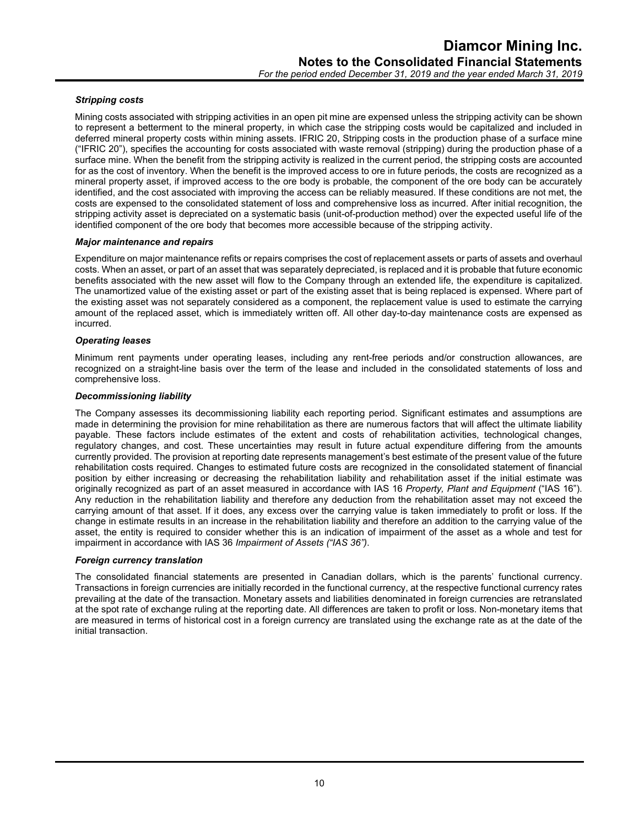### *Stripping costs*

Mining costs associated with stripping activities in an open pit mine are expensed unless the stripping activity can be shown to represent a betterment to the mineral property, in which case the stripping costs would be capitalized and included in deferred mineral property costs within mining assets. IFRIC 20, Stripping costs in the production phase of a surface mine ("IFRIC 20"), specifies the accounting for costs associated with waste removal (stripping) during the production phase of a surface mine. When the benefit from the stripping activity is realized in the current period, the stripping costs are accounted for as the cost of inventory. When the benefit is the improved access to ore in future periods, the costs are recognized as a mineral property asset, if improved access to the ore body is probable, the component of the ore body can be accurately identified, and the cost associated with improving the access can be reliably measured. If these conditions are not met, the costs are expensed to the consolidated statement of loss and comprehensive loss as incurred. After initial recognition, the stripping activity asset is depreciated on a systematic basis (unit-of-production method) over the expected useful life of the identified component of the ore body that becomes more accessible because of the stripping activity.

#### *Major maintenance and repairs*

Expenditure on major maintenance refits or repairs comprises the cost of replacement assets or parts of assets and overhaul costs. When an asset, or part of an asset that was separately depreciated, is replaced and it is probable that future economic benefits associated with the new asset will flow to the Company through an extended life, the expenditure is capitalized. The unamortized value of the existing asset or part of the existing asset that is being replaced is expensed. Where part of the existing asset was not separately considered as a component, the replacement value is used to estimate the carrying amount of the replaced asset, which is immediately written off. All other day-to-day maintenance costs are expensed as incurred.

#### *Operating leases*

Minimum rent payments under operating leases, including any rent-free periods and/or construction allowances, are recognized on a straight-line basis over the term of the lease and included in the consolidated statements of loss and comprehensive loss.

#### *Decommissioning liability*

The Company assesses its decommissioning liability each reporting period. Significant estimates and assumptions are made in determining the provision for mine rehabilitation as there are numerous factors that will affect the ultimate liability payable. These factors include estimates of the extent and costs of rehabilitation activities, technological changes, regulatory changes, and cost. These uncertainties may result in future actual expenditure differing from the amounts currently provided. The provision at reporting date represents management's best estimate of the present value of the future rehabilitation costs required. Changes to estimated future costs are recognized in the consolidated statement of financial position by either increasing or decreasing the rehabilitation liability and rehabilitation asset if the initial estimate was originally recognized as part of an asset measured in accordance with IAS 16 *Property, Plant and Equipment* ("IAS 16"). Any reduction in the rehabilitation liability and therefore any deduction from the rehabilitation asset may not exceed the carrying amount of that asset. If it does, any excess over the carrying value is taken immediately to profit or loss. If the change in estimate results in an increase in the rehabilitation liability and therefore an addition to the carrying value of the asset, the entity is required to consider whether this is an indication of impairment of the asset as a whole and test for impairment in accordance with IAS 36 *Impairment of Assets ("IAS 36")*.

#### *Foreign currency translation*

The consolidated financial statements are presented in Canadian dollars, which is the parents' functional currency. Transactions in foreign currencies are initially recorded in the functional currency, at the respective functional currency rates prevailing at the date of the transaction. Monetary assets and liabilities denominated in foreign currencies are retranslated at the spot rate of exchange ruling at the reporting date. All differences are taken to profit or loss. Non-monetary items that are measured in terms of historical cost in a foreign currency are translated using the exchange rate as at the date of the initial transaction.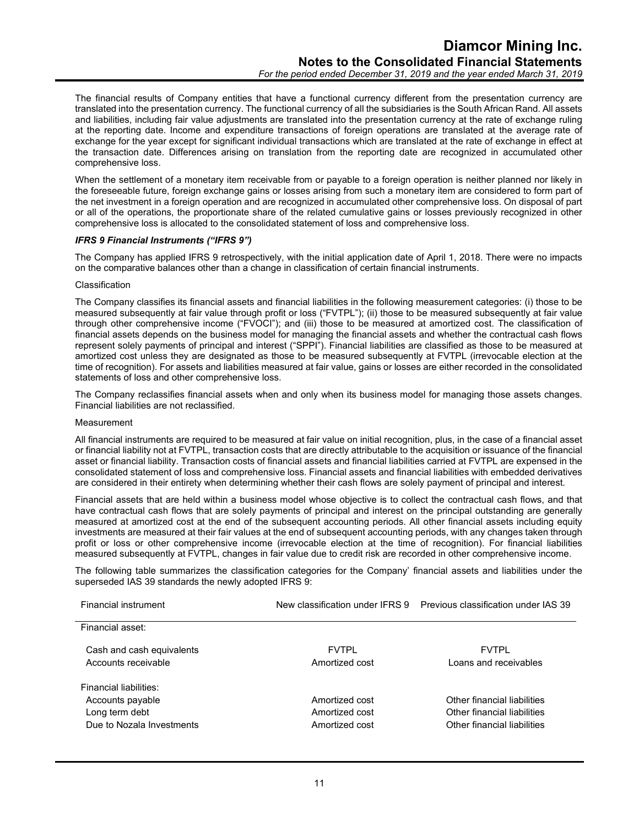The financial results of Company entities that have a functional currency different from the presentation currency are translated into the presentation currency. The functional currency of all the subsidiaries is the South African Rand. All assets and liabilities, including fair value adjustments are translated into the presentation currency at the rate of exchange ruling at the reporting date. Income and expenditure transactions of foreign operations are translated at the average rate of exchange for the year except for significant individual transactions which are translated at the rate of exchange in effect at the transaction date. Differences arising on translation from the reporting date are recognized in accumulated other comprehensive loss.

When the settlement of a monetary item receivable from or payable to a foreign operation is neither planned nor likely in the foreseeable future, foreign exchange gains or losses arising from such a monetary item are considered to form part of the net investment in a foreign operation and are recognized in accumulated other comprehensive loss. On disposal of part or all of the operations, the proportionate share of the related cumulative gains or losses previously recognized in other comprehensive loss is allocated to the consolidated statement of loss and comprehensive loss.

#### *IFRS 9 Financial Instruments ("IFRS 9")*

The Company has applied IFRS 9 retrospectively, with the initial application date of April 1, 2018. There were no impacts on the comparative balances other than a change in classification of certain financial instruments.

#### Classification

The Company classifies its financial assets and financial liabilities in the following measurement categories: (i) those to be measured subsequently at fair value through profit or loss ("FVTPL"); (ii) those to be measured subsequently at fair value through other comprehensive income ("FVOCI"); and (iii) those to be measured at amortized cost. The classification of financial assets depends on the business model for managing the financial assets and whether the contractual cash flows represent solely payments of principal and interest ("SPPI"). Financial liabilities are classified as those to be measured at amortized cost unless they are designated as those to be measured subsequently at FVTPL (irrevocable election at the time of recognition). For assets and liabilities measured at fair value, gains or losses are either recorded in the consolidated statements of loss and other comprehensive loss.

The Company reclassifies financial assets when and only when its business model for managing those assets changes. Financial liabilities are not reclassified.

#### Measurement

All financial instruments are required to be measured at fair value on initial recognition, plus, in the case of a financial asset or financial liability not at FVTPL, transaction costs that are directly attributable to the acquisition or issuance of the financial asset or financial liability. Transaction costs of financial assets and financial liabilities carried at FVTPL are expensed in the consolidated statement of loss and comprehensive loss. Financial assets and financial liabilities with embedded derivatives are considered in their entirety when determining whether their cash flows are solely payment of principal and interest.

Financial assets that are held within a business model whose objective is to collect the contractual cash flows, and that have contractual cash flows that are solely payments of principal and interest on the principal outstanding are generally measured at amortized cost at the end of the subsequent accounting periods. All other financial assets including equity investments are measured at their fair values at the end of subsequent accounting periods, with any changes taken through profit or loss or other comprehensive income (irrevocable election at the time of recognition). For financial liabilities measured subsequently at FVTPL, changes in fair value due to credit risk are recorded in other comprehensive income.

The following table summarizes the classification categories for the Company' financial assets and liabilities under the superseded IAS 39 standards the newly adopted IFRS 9:

|                | New classification under IFRS 9   Previous classification under IAS 39 |
|----------------|------------------------------------------------------------------------|
|                |                                                                        |
| <b>FVTPI</b>   | <b>FVTPL</b>                                                           |
| Amortized cost | Loans and receivables                                                  |
|                |                                                                        |
| Amortized cost | Other financial liabilities                                            |
| Amortized cost | Other financial liabilities                                            |
| Amortized cost | Other financial liabilities                                            |
|                |                                                                        |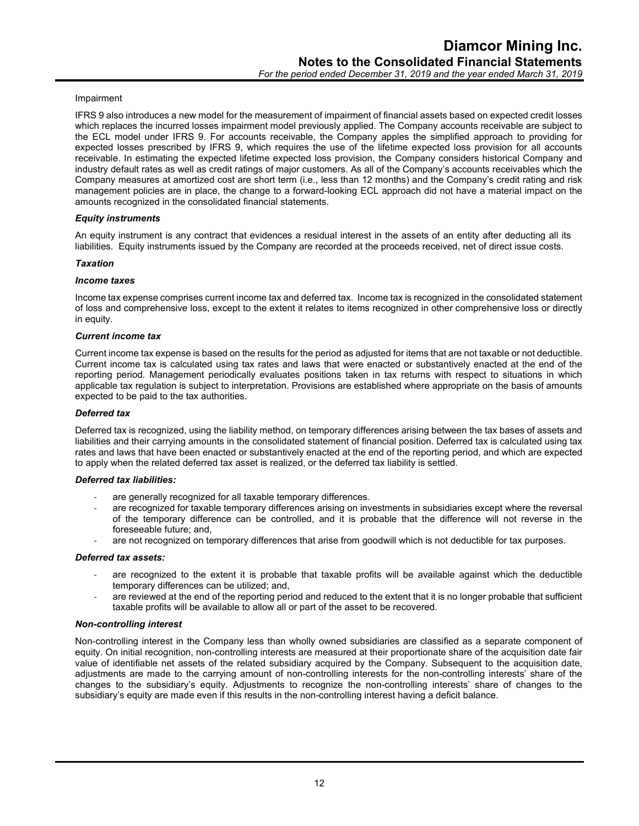#### Impairment

IFRS 9 also introduces a new model for the measurement of impairment of financial assets based on expected credit losses which replaces the incurred losses impairment model previously applied. The Company accounts receivable are subject to the ECL model under IFRS 9. For accounts receivable, the Company apples the simplified approach to providing for expected losses prescribed by IFRS 9, which requires the use of the lifetime expected loss provision for all accounts receivable. In estimating the expected lifetime expected loss provision, the Company considers historical Company and industry default rates as well as credit ratings of major customers. As all of the Company's accounts receivables which the Company measures at amortized cost are short term (i.e., less than 12 months) and the Company's credit rating and risk management policies are in place, the change to a forward-looking ECL approach did not have a material impact on the amounts recognized in the consolidated financial statements.

### *Equity instruments*

An equity instrument is any contract that evidences a residual interest in the assets of an entity after deducting all its liabilities. Equity instruments issued by the Company are recorded at the proceeds received, net of direct issue costs.

### *Taxation*

#### *Income taxes*

Income tax expense comprises current income tax and deferred tax. Income tax is recognized in the consolidated statement of loss and comprehensive loss, except to the extent it relates to items recognized in other comprehensive loss or directly in equity.

### *Current income tax*

Current income tax expense is based on the results for the period as adjusted for items that are not taxable or not deductible. Current income tax is calculated using tax rates and laws that were enacted or substantively enacted at the end of the reporting period. Management periodically evaluates positions taken in tax returns with respect to situations in which applicable tax regulation is subject to interpretation. Provisions are established where appropriate on the basis of amounts expected to be paid to the tax authorities.

#### *Deferred tax*

Deferred tax is recognized, using the liability method, on temporary differences arising between the tax bases of assets and liabilities and their carrying amounts in the consolidated statement of financial position. Deferred tax is calculated using tax rates and laws that have been enacted or substantively enacted at the end of the reporting period, and which are expected to apply when the related deferred tax asset is realized, or the deferred tax liability is settled.

#### *Deferred tax liabilities:*

- are generally recognized for all taxable temporary differences.
- are recognized for taxable temporary differences arising on investments in subsidiaries except where the reversal of the temporary difference can be controlled, and it is probable that the difference will not reverse in the foreseeable future; and,
- are not recognized on temporary differences that arise from goodwill which is not deductible for tax purposes.

#### *Deferred tax assets:*

- are recognized to the extent it is probable that taxable profits will be available against which the deductible temporary differences can be utilized; and,
- are reviewed at the end of the reporting period and reduced to the extent that it is no longer probable that sufficient taxable profits will be available to allow all or part of the asset to be recovered.

#### *Non-controlling interest*

Non-controlling interest in the Company less than wholly owned subsidiaries are classified as a separate component of equity. On initial recognition, non-controlling interests are measured at their proportionate share of the acquisition date fair value of identifiable net assets of the related subsidiary acquired by the Company. Subsequent to the acquisition date, adjustments are made to the carrying amount of non-controlling interests for the non-controlling interests' share of the changes to the subsidiary's equity. Adjustments to recognize the non-controlling interests' share of changes to the subsidiary's equity are made even if this results in the non-controlling interest having a deficit balance.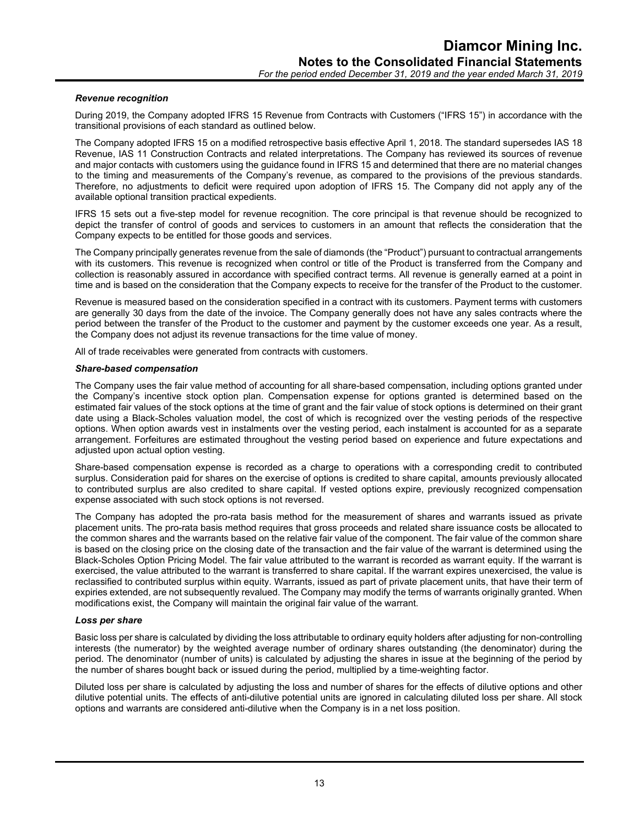#### *Revenue recognition*

During 2019, the Company adopted IFRS 15 Revenue from Contracts with Customers ("IFRS 15") in accordance with the transitional provisions of each standard as outlined below.

The Company adopted IFRS 15 on a modified retrospective basis effective April 1, 2018. The standard supersedes IAS 18 Revenue, IAS 11 Construction Contracts and related interpretations. The Company has reviewed its sources of revenue and major contacts with customers using the guidance found in IFRS 15 and determined that there are no material changes to the timing and measurements of the Company's revenue, as compared to the provisions of the previous standards. Therefore, no adjustments to deficit were required upon adoption of IFRS 15. The Company did not apply any of the available optional transition practical expedients.

IFRS 15 sets out a five-step model for revenue recognition. The core principal is that revenue should be recognized to depict the transfer of control of goods and services to customers in an amount that reflects the consideration that the Company expects to be entitled for those goods and services.

The Company principally generates revenue from the sale of diamonds (the "Product") pursuant to contractual arrangements with its customers. This revenue is recognized when control or title of the Product is transferred from the Company and collection is reasonably assured in accordance with specified contract terms. All revenue is generally earned at a point in time and is based on the consideration that the Company expects to receive for the transfer of the Product to the customer.

Revenue is measured based on the consideration specified in a contract with its customers. Payment terms with customers are generally 30 days from the date of the invoice. The Company generally does not have any sales contracts where the period between the transfer of the Product to the customer and payment by the customer exceeds one year. As a result, the Company does not adjust its revenue transactions for the time value of money.

All of trade receivables were generated from contracts with customers.

#### *Share-based compensation*

The Company uses the fair value method of accounting for all share-based compensation, including options granted under the Company's incentive stock option plan. Compensation expense for options granted is determined based on the estimated fair values of the stock options at the time of grant and the fair value of stock options is determined on their grant date using a Black-Scholes valuation model, the cost of which is recognized over the vesting periods of the respective options. When option awards vest in instalments over the vesting period, each instalment is accounted for as a separate arrangement. Forfeitures are estimated throughout the vesting period based on experience and future expectations and adjusted upon actual option vesting.

Share-based compensation expense is recorded as a charge to operations with a corresponding credit to contributed surplus. Consideration paid for shares on the exercise of options is credited to share capital, amounts previously allocated to contributed surplus are also credited to share capital. If vested options expire, previously recognized compensation expense associated with such stock options is not reversed.

The Company has adopted the pro-rata basis method for the measurement of shares and warrants issued as private placement units. The pro-rata basis method requires that gross proceeds and related share issuance costs be allocated to the common shares and the warrants based on the relative fair value of the component. The fair value of the common share is based on the closing price on the closing date of the transaction and the fair value of the warrant is determined using the Black-Scholes Option Pricing Model. The fair value attributed to the warrant is recorded as warrant equity. If the warrant is exercised, the value attributed to the warrant is transferred to share capital. If the warrant expires unexercised, the value is reclassified to contributed surplus within equity. Warrants, issued as part of private placement units, that have their term of expiries extended, are not subsequently revalued. The Company may modify the terms of warrants originally granted. When modifications exist, the Company will maintain the original fair value of the warrant.

#### *Loss per share*

Basic loss per share is calculated by dividing the loss attributable to ordinary equity holders after adjusting for non-controlling interests (the numerator) by the weighted average number of ordinary shares outstanding (the denominator) during the period. The denominator (number of units) is calculated by adjusting the shares in issue at the beginning of the period by the number of shares bought back or issued during the period, multiplied by a time-weighting factor.

Diluted loss per share is calculated by adjusting the loss and number of shares for the effects of dilutive options and other dilutive potential units. The effects of anti-dilutive potential units are ignored in calculating diluted loss per share. All stock options and warrants are considered anti-dilutive when the Company is in a net loss position.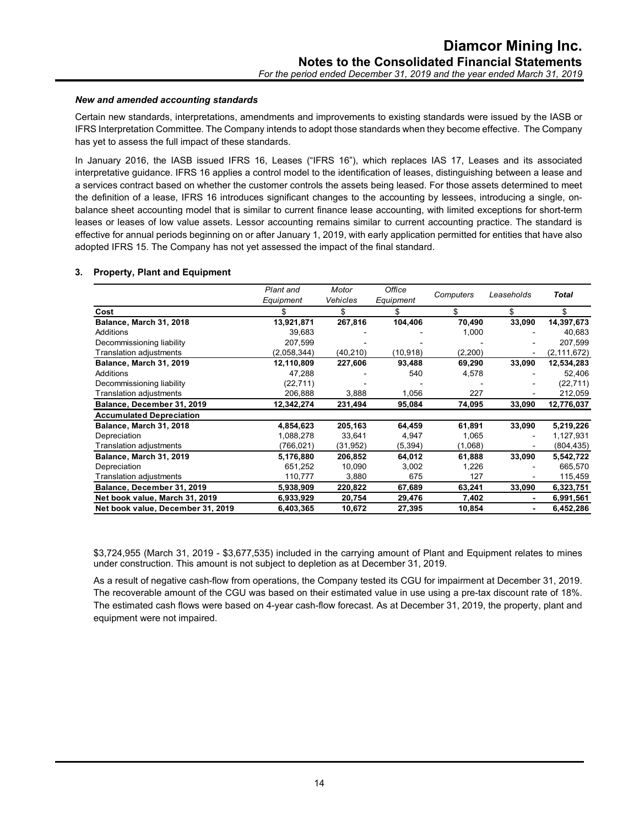#### *New and amended accounting standards*

Certain new standards, interpretations, amendments and improvements to existing standards were issued by the IASB or IFRS Interpretation Committee. The Company intends to adopt those standards when they become effective. The Company has yet to assess the full impact of these standards.

In January 2016, the IASB issued IFRS 16, Leases ("IFRS 16"), which replaces IAS 17, Leases and its associated interpretative guidance. IFRS 16 applies a control model to the identification of leases, distinguishing between a lease and a services contract based on whether the customer controls the assets being leased. For those assets determined to meet the definition of a lease, IFRS 16 introduces significant changes to the accounting by lessees, introducing a single, onbalance sheet accounting model that is similar to current finance lease accounting, with limited exceptions for short-term leases or leases of low value assets. Lessor accounting remains similar to current accounting practice. The standard is effective for annual periods beginning on or after January 1, 2019, with early application permitted for entities that have also adopted IFRS 15. The Company has not yet assessed the impact of the final standard.

#### **3. Property, Plant and Equipment**

|                                   | Plant and<br>Equipment | Motor<br>Vehicles | Office<br>Equipment | Computers | Leaseholds     | Total       |
|-----------------------------------|------------------------|-------------------|---------------------|-----------|----------------|-------------|
| Cost                              | \$                     | \$                | \$                  | \$        | \$             | \$          |
| Balance, March 31, 2018           | 13,921,871             | 267,816           | 104,406             | 70,490    | 33,090         | 14,397,673  |
| Additions                         | 39.683                 |                   |                     | 1,000     |                | 40,683      |
| Decommissioning liability         | 207,599                |                   |                     |           |                | 207,599     |
| <b>Translation adjustments</b>    | (2,058,344)            | (40,210)          | (10, 918)           | (2,200)   |                | (2,111,672) |
| Balance, March 31, 2019           | 12,110,809             | 227,606           | 93,488              | 69,290    | 33,090         | 12,534,283  |
| <b>Additions</b>                  | 47,288                 |                   | 540                 | 4,578     |                | 52,406      |
| Decommissioning liability         | (22, 711)              |                   |                     |           |                | (22,711)    |
| <b>Translation adjustments</b>    | 206,888                | 3,888             | 1,056               | 227       |                | 212,059     |
| Balance, December 31, 2019        | 12,342,274             | 231,494           | 95,084              | 74,095    | 33,090         | 12,776,037  |
| <b>Accumulated Depreciation</b>   |                        |                   |                     |           |                |             |
| Balance, March 31, 2018           | 4,854,623              | 205,163           | 64,459              | 61,891    | 33,090         | 5,219,226   |
| Depreciation                      | 1,088,278              | 33,641            | 4,947               | 1,065     |                | 1,127,931   |
| Translation adjustments           | (766,021)              | (31,952)          | (5, 394)            | (1,068)   |                | (804, 435)  |
| Balance, March 31, 2019           | 5,176,880              | 206,852           | 64,012              | 61,888    | 33,090         | 5,542,722   |
| Depreciation                      | 651,252                | 10,090            | 3,002               | 1,226     |                | 665,570     |
| Translation adjustments           | 110,777                | 3,880             | 675                 | 127       |                | 115,459     |
| Balance, December 31, 2019        | 5,938,909              | 220,822           | 67,689              | 63,241    | 33,090         | 6,323,751   |
| Net book value, March 31, 2019    | 6,933,929              | 20,754            | 29,476              | 7,402     | $\blacksquare$ | 6,991,561   |
| Net book value, December 31, 2019 | 6,403,365              | 10,672            | 27,395              | 10,854    | -              | 6,452,286   |

\$3,724,955 (March 31, 2019 - \$3,677,535) included in the carrying amount of Plant and Equipment relates to mines under construction. This amount is not subject to depletion as at December 31, 2019.

As a result of negative cash-flow from operations, the Company tested its CGU for impairment at December 31, 2019. The recoverable amount of the CGU was based on their estimated value in use using a pre-tax discount rate of 18%. The estimated cash flows were based on 4-year cash-flow forecast. As at December 31, 2019, the property, plant and equipment were not impaired.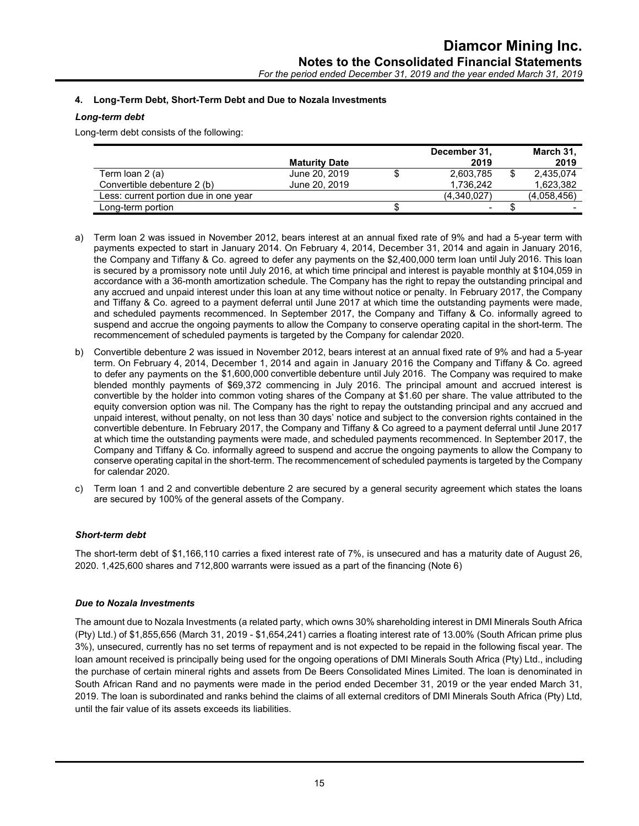### **4. Long-Term Debt, Short-Term Debt and Due to Nozala Investments**

# *Long-term debt*

Long-term debt consists of the following:

|                                       |                      | December 31,             |   | March 31,    |
|---------------------------------------|----------------------|--------------------------|---|--------------|
|                                       | <b>Maturity Date</b> | 2019                     |   | 2019         |
| Term Ioan 2 (a)                       | June 20, 2019        | 2,603,785                | S | 2,435,074    |
| Convertible debenture 2 (b)           | June 20, 2019        | 1.736.242                |   | 1,623,382    |
| Less: current portion due in one vear |                      | (4,340,027)              |   | (4.058, 456) |
| Long-term portion                     |                      | $\overline{\phantom{0}}$ |   |              |

- a) Term loan 2 was issued in November 2012, bears interest at an annual fixed rate of 9% and had a 5-year term with payments expected to start in January 2014. On February 4, 2014, December 31, 2014 and again in January 2016, the Company and Tiffany & Co. agreed to defer any payments on the \$2,400,000 term loan until July 2016. This loan is secured by a promissory note until July 2016, at which time principal and interest is payable monthly at \$104,059 in accordance with a 36-month amortization schedule. The Company has the right to repay the outstanding principal and any accrued and unpaid interest under this loan at any time without notice or penalty. In February 2017, the Company and Tiffany & Co. agreed to a payment deferral until June 2017 at which time the outstanding payments were made, and scheduled payments recommenced. In September 2017, the Company and Tiffany & Co. informally agreed to suspend and accrue the ongoing payments to allow the Company to conserve operating capital in the short-term. The recommencement of scheduled payments is targeted by the Company for calendar 2020.
- b) Convertible debenture 2 was issued in November 2012, bears interest at an annual fixed rate of 9% and had a 5-year term. On February 4, 2014, December 1, 2014 and again in January 2016 the Company and Tiffany & Co. agreed to defer any payments on the \$1,600,000 convertible debenture until July 2016. The Company was required to make blended monthly payments of \$69,372 commencing in July 2016. The principal amount and accrued interest is convertible by the holder into common voting shares of the Company at \$1.60 per share. The value attributed to the equity conversion option was nil. The Company has the right to repay the outstanding principal and any accrued and unpaid interest, without penalty, on not less than 30 days' notice and subject to the conversion rights contained in the convertible debenture. In February 2017, the Company and Tiffany & Co agreed to a payment deferral until June 2017 at which time the outstanding payments were made, and scheduled payments recommenced. In September 2017, the Company and Tiffany & Co. informally agreed to suspend and accrue the ongoing payments to allow the Company to conserve operating capital in the short-term. The recommencement of scheduled payments is targeted by the Company for calendar 2020.
- c) Term loan 1 and 2 and convertible debenture 2 are secured by a general security agreement which states the loans are secured by 100% of the general assets of the Company.

#### *Short-term debt*

The short-term debt of \$1,166,110 carries a fixed interest rate of 7%, is unsecured and has a maturity date of August 26, 2020. 1,425,600 shares and 712,800 warrants were issued as a part of the financing (Note 6)

#### *Due to Nozala Investments*

The amount due to Nozala Investments (a related party, which owns 30% shareholding interest in DMI Minerals South Africa (Pty) Ltd.) of \$1,855,656 (March 31, 2019 - \$1,654,241) carries a floating interest rate of 13.00% (South African prime plus 3%), unsecured, currently has no set terms of repayment and is not expected to be repaid in the following fiscal year. The loan amount received is principally being used for the ongoing operations of DMI Minerals South Africa (Pty) Ltd., including the purchase of certain mineral rights and assets from De Beers Consolidated Mines Limited. The loan is denominated in South African Rand and no payments were made in the period ended December 31, 2019 or the year ended March 31, 2019. The loan is subordinated and ranks behind the claims of all external creditors of DMI Minerals South Africa (Pty) Ltd, until the fair value of its assets exceeds its liabilities.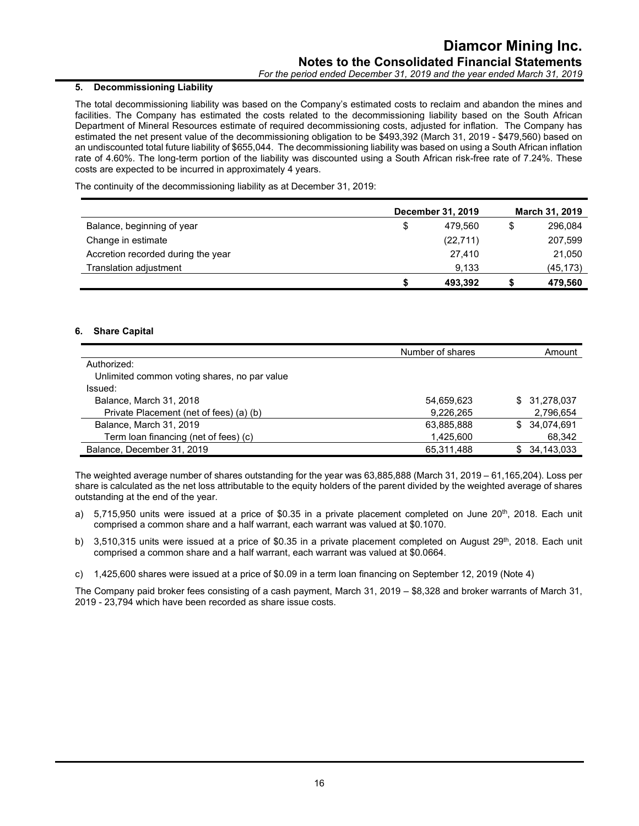### **5. Decommissioning Liability**

The total decommissioning liability was based on the Company's estimated costs to reclaim and abandon the mines and facilities. The Company has estimated the costs related to the decommissioning liability based on the South African Department of Mineral Resources estimate of required decommissioning costs, adjusted for inflation. The Company has estimated the net present value of the decommissioning obligation to be \$493,392 (March 31, 2019 - \$479,560) based on an undiscounted total future liability of \$655,044. The decommissioning liability was based on using a South African inflation rate of 4.60%. The long-term portion of the liability was discounted using a South African risk-free rate of 7.24%. These costs are expected to be incurred in approximately 4 years.

The continuity of the decommissioning liability as at December 31, 2019:

|                                    | December 31, 2019 | March 31, 2019 |           |  |
|------------------------------------|-------------------|----------------|-----------|--|
| Balance, beginning of year         | \$<br>479.560     | \$             | 296,084   |  |
| Change in estimate                 | (22, 711)         |                | 207,599   |  |
| Accretion recorded during the year | 27.410            |                | 21,050    |  |
| Translation adjustment             | 9.133             |                | (45, 173) |  |
|                                    | 493,392           |                | 479.560   |  |

# **6. Share Capital**

|                                              | Number of shares | Amount            |
|----------------------------------------------|------------------|-------------------|
| Authorized:                                  |                  |                   |
| Unlimited common voting shares, no par value |                  |                   |
| Issued:                                      |                  |                   |
| Balance, March 31, 2018                      | 54,659,623       | 31,278,037<br>SS. |
| Private Placement (net of fees) (a) (b)      | 9,226,265        | 2,796,654         |
| Balance, March 31, 2019                      | 63,885,888       | 34,074,691<br>\$. |
| Term loan financing (net of fees) (c)        | 1,425,600        | 68,342            |
| Balance, December 31, 2019                   | 65,311,488       | 34,143,033<br>SS. |

The weighted average number of shares outstanding for the year was 63,885,888 (March 31, 2019 – 61,165,204). Loss per share is calculated as the net loss attributable to the equity holders of the parent divided by the weighted average of shares outstanding at the end of the year.

- a) 5,715,950 units were issued at a price of \$0.35 in a private placement completed on June  $20^{th}$ , 2018. Each unit comprised a common share and a half warrant, each warrant was valued at \$0.1070.
- b) 3,510,315 units were issued at a price of \$0.35 in a private placement completed on August  $29^{th}$ , 2018. Each unit comprised a common share and a half warrant, each warrant was valued at \$0.0664.
- c) 1,425,600 shares were issued at a price of \$0.09 in a term loan financing on September 12, 2019 (Note 4)

The Company paid broker fees consisting of a cash payment, March 31, 2019 – \$8,328 and broker warrants of March 31, 2019 - 23,794 which have been recorded as share issue costs.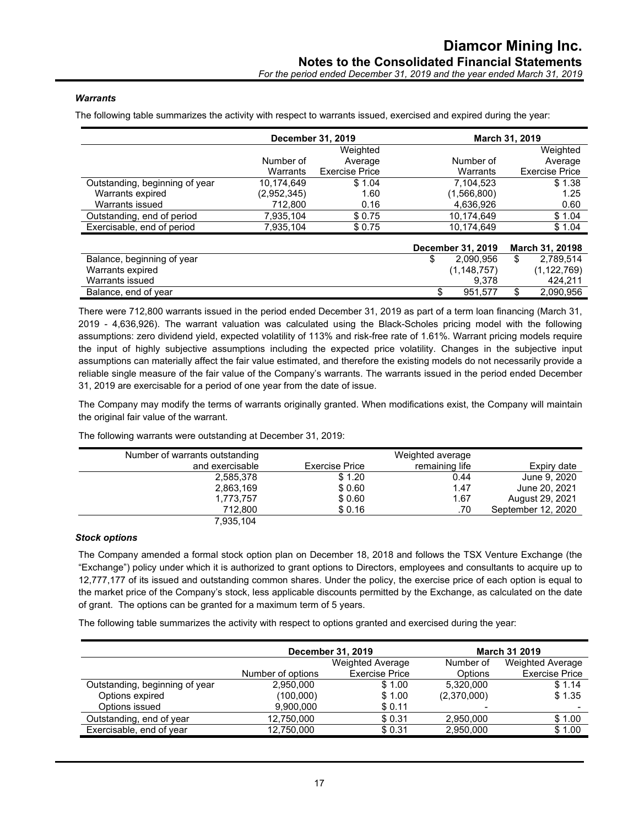# *Warrants*

The following table summarizes the activity with respect to warrants issued, exercised and expired during the year:

|                                |             | December 31, 2019     |                   | March 31, 2019        |
|--------------------------------|-------------|-----------------------|-------------------|-----------------------|
|                                |             | Weighted              |                   | Weighted              |
|                                | Number of   | Average               | Number of         | Average               |
|                                | Warrants    | <b>Exercise Price</b> | Warrants          | <b>Exercise Price</b> |
| Outstanding, beginning of year | 10.174.649  | \$1.04                | 7.104.523         | \$1.38                |
| Warrants expired               | (2,952,345) | 1.60                  | (1,566,800)       | 1.25                  |
| Warrants issued                | 712,800     | 0.16                  | 4,636,926         | 0.60                  |
| Outstanding, end of period     | 7.935.104   | \$0.75                | 10.174.649        | \$1.04                |
| Exercisable, end of period     | 7.935.104   | \$0.75                | 10.174.649        | \$1.04                |
|                                |             |                       |                   |                       |
|                                |             |                       | December 31, 2019 | March 31, 20198       |
| Balance, beginning of year     |             |                       | \$<br>2.090.956   | \$<br>2.789.514       |
| Warrants expired               |             |                       | (1, 148, 757)     | (1, 122, 769)         |
| Warrants issued                |             |                       | 9,378             | 424.211               |
| Balance, end of year           |             |                       | 951.577           | \$<br>2,090,956       |

There were 712,800 warrants issued in the period ended December 31, 2019 as part of a term loan financing (March 31, 2019 - 4,636,926). The warrant valuation was calculated using the Black-Scholes pricing model with the following assumptions: zero dividend yield, expected volatility of 113% and risk-free rate of 1.61%. Warrant pricing models require the input of highly subjective assumptions including the expected price volatility. Changes in the subjective input assumptions can materially affect the fair value estimated, and therefore the existing models do not necessarily provide a reliable single measure of the fair value of the Company's warrants. The warrants issued in the period ended December 31, 2019 are exercisable for a period of one year from the date of issue.

The Company may modify the terms of warrants originally granted. When modifications exist, the Company will maintain the original fair value of the warrant.

| Number of warrants outstanding |                | Weighted average |                    |
|--------------------------------|----------------|------------------|--------------------|
| and exercisable                | Exercise Price | remaining life   | Expiry date        |
| 2,585,378                      | \$1.20         | 0.44             | June 9, 2020       |
| 2,863,169                      | \$0.60         | 1.47             | June 20, 2021      |
| 1,773,757                      | \$0.60         | 1.67             | August 29, 2021    |
| 712.800                        | \$0.16         | .70              | September 12, 2020 |
| 7,935,104                      |                |                  |                    |

The following warrants were outstanding at December 31, 2019:

#### *Stock options*

The Company amended a formal stock option plan on December 18, 2018 and follows the TSX Venture Exchange (the "Exchange") policy under which it is authorized to grant options to Directors, employees and consultants to acquire up to 12,777,177 of its issued and outstanding common shares. Under the policy, the exercise price of each option is equal to the market price of the Company's stock, less applicable discounts permitted by the Exchange, as calculated on the date of grant. The options can be granted for a maximum term of 5 years.

The following table summarizes the activity with respect to options granted and exercised during the year:

|                                |                   | December 31, 2019       | <b>March 31 2019</b> |                         |  |
|--------------------------------|-------------------|-------------------------|----------------------|-------------------------|--|
|                                |                   | <b>Weighted Average</b> |                      | <b>Weighted Average</b> |  |
|                                | Number of options | <b>Exercise Price</b>   | Options              | <b>Exercise Price</b>   |  |
| Outstanding, beginning of year | 2,950,000         | \$1.00                  | 5.320.000            | \$1.14                  |  |
| Options expired                | (100,000)         | \$1.00                  | (2,370,000)          | \$1.35                  |  |
| Options issued                 | 9,900,000         | \$0.11                  |                      | $\,$                    |  |
| Outstanding, end of year       | 12.750.000        | \$0.31                  | 2,950,000            | \$1.00                  |  |
| Exercisable, end of year       | 12,750,000        | \$0.31                  | 2,950,000            | \$1.00                  |  |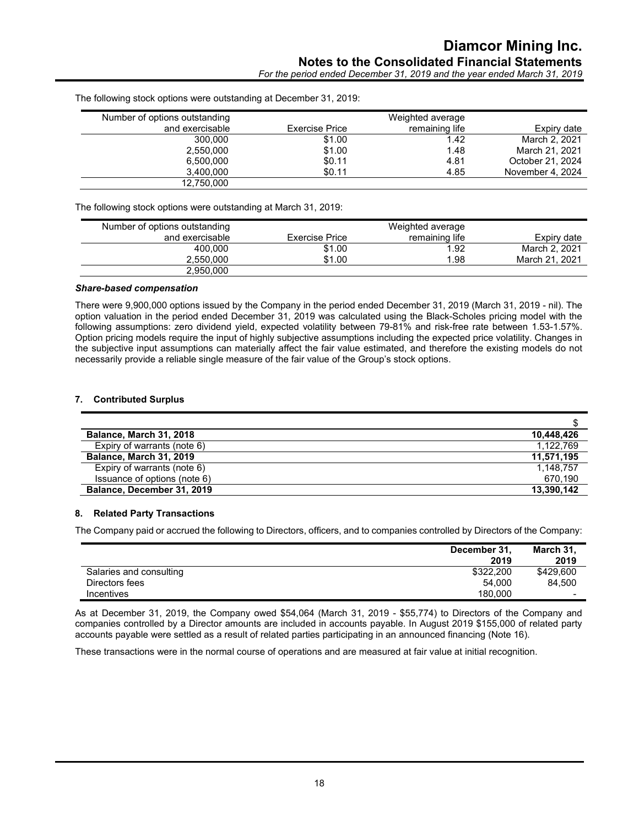| The following stock options were outstanding at December 31, 2019: |                |                  |                  |  |  |  |  |
|--------------------------------------------------------------------|----------------|------------------|------------------|--|--|--|--|
| Number of options outstanding                                      |                | Weighted average |                  |  |  |  |  |
| and exercisable                                                    | Exercise Price | remaining life   | Expiry date      |  |  |  |  |
| 300,000                                                            | \$1.00         | 1.42             | March 2, 2021    |  |  |  |  |
| 2,550,000                                                          | \$1.00         | 1.48             | March 21, 2021   |  |  |  |  |
| 6.500.000                                                          | \$0.11         | 4.81             | October 21, 2024 |  |  |  |  |
| 3.400.000                                                          | \$0.11         | 4.85             | November 4, 2024 |  |  |  |  |
| 12,750,000                                                         |                |                  |                  |  |  |  |  |

The following stock options were outstanding at March 31, 2019:

| Number of options outstanding |                | Weighted average |                |
|-------------------------------|----------------|------------------|----------------|
| and exercisable               | Exercise Price | remaining life   | Expiry date    |
| 400.000                       | \$1.00         | 1.92             | March 2, 2021  |
| 2.550.000                     | \$1.00         | 1.98             | March 21, 2021 |
| 2.950.000                     |                |                  |                |

#### *Share-based compensation*

There were 9,900,000 options issued by the Company in the period ended December 31, 2019 (March 31, 2019 - nil). The option valuation in the period ended December 31, 2019 was calculated using the Black-Scholes pricing model with the following assumptions: zero dividend yield, expected volatility between 79-81% and risk-free rate between 1.53-1.57%. Option pricing models require the input of highly subjective assumptions including the expected price volatility. Changes in the subjective input assumptions can materially affect the fair value estimated, and therefore the existing models do not necessarily provide a reliable single measure of the fair value of the Group's stock options.

### **7. Contributed Surplus**

| <b>Balance, March 31, 2018</b> | 10,448,426 |
|--------------------------------|------------|
| Expiry of warrants (note 6)    | 1.122.769  |
| <b>Balance, March 31, 2019</b> | 11,571,195 |
| Expiry of warrants (note 6)    | 1,148,757  |
| Issuance of options (note 6)   | 670.190    |
| Balance, December 31, 2019     | 13,390,142 |

#### **8. Related Party Transactions**

The Company paid or accrued the following to Directors, officers, and to companies controlled by Directors of the Company:

|                         | December 31,<br>2019 | March 31.<br>2019 |
|-------------------------|----------------------|-------------------|
| Salaries and consulting | \$322,200            | \$429,600         |
| Directors fees          | 54.000               | 84.500            |
| <b>Incentives</b>       | 180.000              | $\sim$            |

As at December 31, 2019, the Company owed \$54,064 (March 31, 2019 - \$55,774) to Directors of the Company and companies controlled by a Director amounts are included in accounts payable. In August 2019 \$155,000 of related party accounts payable were settled as a result of related parties participating in an announced financing (Note 16).

These transactions were in the normal course of operations and are measured at fair value at initial recognition.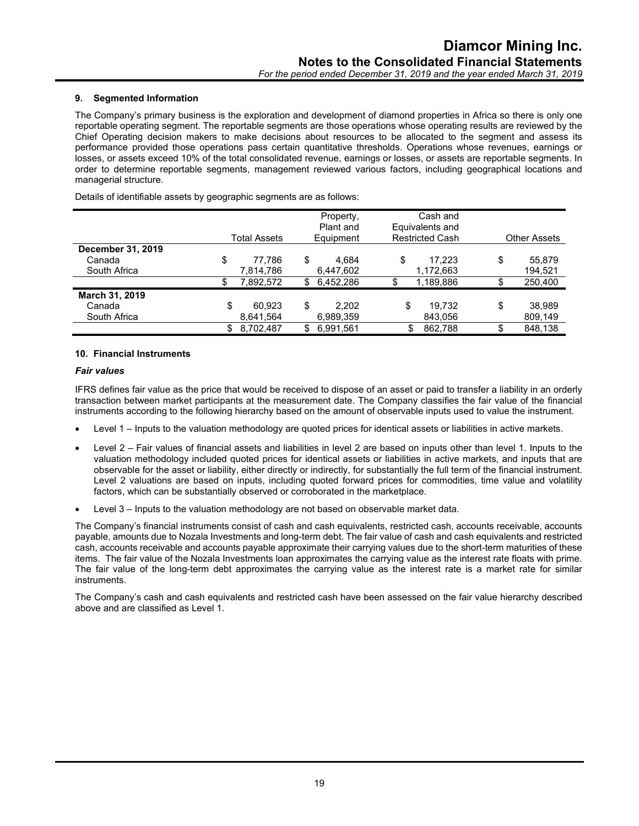#### **9. Segmented Information**

The Company's primary business is the exploration and development of diamond properties in Africa so there is only one reportable operating segment. The reportable segments are those operations whose operating results are reviewed by the Chief Operating decision makers to make decisions about resources to be allocated to the segment and assess its performance provided those operations pass certain quantitative thresholds. Operations whose revenues, earnings or losses, or assets exceed 10% of the total consolidated revenue, earnings or losses, or assets are reportable segments. In order to determine reportable segments, management reviewed various factors, including geographical locations and managerial structure.

Details of identifiable assets by geographic segments are as follows:

|                   | <b>Total Assets</b> |     | Property,<br>Plant and<br>Equipment | Cash and<br>Equivalents and<br><b>Restricted Cash</b> | <b>Other Assets</b> |
|-------------------|---------------------|-----|-------------------------------------|-------------------------------------------------------|---------------------|
| December 31, 2019 |                     |     |                                     |                                                       |                     |
| Canada            | \$<br>77.786        | \$  | 4.684                               | \$<br>17.223                                          | \$<br>55,879        |
| South Africa      | 7,814,786           |     | 6,447,602                           | 1,172,663                                             | 194,521             |
|                   | 7,892,572           | \$. | 6.452.286                           | 1.189.886                                             | 250,400             |
| March 31, 2019    |                     |     |                                     |                                                       |                     |
| Canada            | \$<br>60,923        | \$  | 2.202                               | \$<br>19.732                                          | \$<br>38,989        |
| South Africa      | 8,641,564           |     | 6,989,359                           | 843,056                                               | 809,149             |
|                   | 8,702,487           | \$. | 6,991,561                           | 862,788                                               | 848.138             |

#### **10. Financial Instruments**

#### *Fair values*

IFRS defines fair value as the price that would be received to dispose of an asset or paid to transfer a liability in an orderly transaction between market participants at the measurement date. The Company classifies the fair value of the financial instruments according to the following hierarchy based on the amount of observable inputs used to value the instrument.

- Level 1 Inputs to the valuation methodology are quoted prices for identical assets or liabilities in active markets.
- Level 2 Fair values of financial assets and liabilities in level 2 are based on inputs other than level 1. Inputs to the valuation methodology included quoted prices for identical assets or liabilities in active markets, and inputs that are observable for the asset or liability, either directly or indirectly, for substantially the full term of the financial instrument. Level 2 valuations are based on inputs, including quoted forward prices for commodities, time value and volatility factors, which can be substantially observed or corroborated in the marketplace.
- Level 3 Inputs to the valuation methodology are not based on observable market data.

The Company's financial instruments consist of cash and cash equivalents, restricted cash, accounts receivable, accounts payable, amounts due to Nozala Investments and long-term debt. The fair value of cash and cash equivalents and restricted cash, accounts receivable and accounts payable approximate their carrying values due to the short-term maturities of these items. The fair value of the Nozala Investments loan approximates the carrying value as the interest rate floats with prime. The fair value of the long-term debt approximates the carrying value as the interest rate is a market rate for similar instruments.

The Company's cash and cash equivalents and restricted cash have been assessed on the fair value hierarchy described above and are classified as Level 1.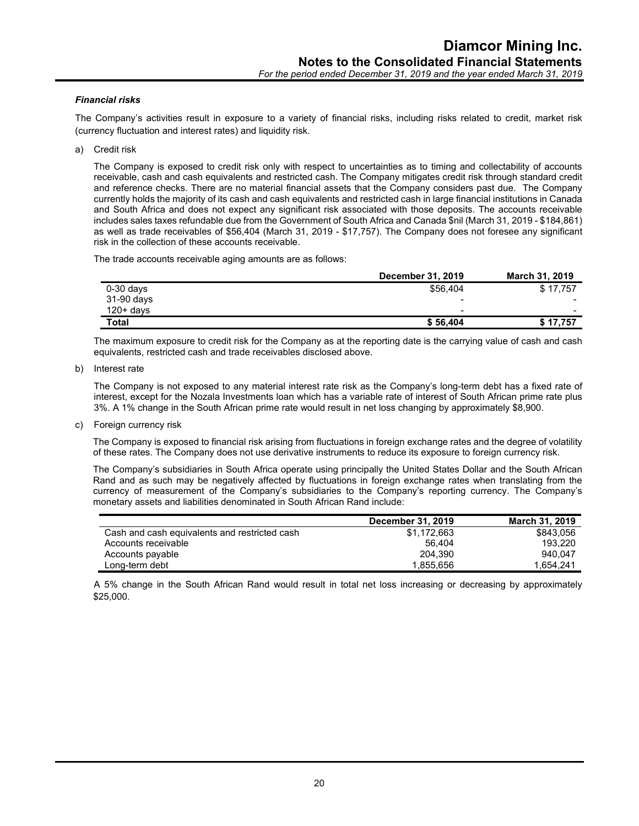# *Financial risks*

The Company's activities result in exposure to a variety of financial risks, including risks related to credit, market risk (currency fluctuation and interest rates) and liquidity risk.

a) Credit risk

The Company is exposed to credit risk only with respect to uncertainties as to timing and collectability of accounts receivable, cash and cash equivalents and restricted cash. The Company mitigates credit risk through standard credit and reference checks. There are no material financial assets that the Company considers past due. The Company currently holds the majority of its cash and cash equivalents and restricted cash in large financial institutions in Canada and South Africa and does not expect any significant risk associated with those deposits. The accounts receivable includes sales taxes refundable due from the Government of South Africa and Canada \$nil (March 31, 2019 - \$184,861) as well as trade receivables of \$56,404 (March 31, 2019 - \$17,757). The Company does not foresee any significant risk in the collection of these accounts receivable.

The trade accounts receivable aging amounts are as follows:

|              | December 31, 2019        | <b>March 31, 2019</b>    |
|--------------|--------------------------|--------------------------|
| $0-30$ days  | \$56,404                 | \$17.757                 |
| $31-90$ days | $\overline{\phantom{0}}$ |                          |
| $120 + days$ | $\blacksquare$           | $\overline{\phantom{0}}$ |
| <b>Total</b> | \$56,404                 | \$17.757                 |

The maximum exposure to credit risk for the Company as at the reporting date is the carrying value of cash and cash equivalents, restricted cash and trade receivables disclosed above.

b) Interest rate

The Company is not exposed to any material interest rate risk as the Company's long-term debt has a fixed rate of interest, except for the Nozala Investments loan which has a variable rate of interest of South African prime rate plus 3%. A 1% change in the South African prime rate would result in net loss changing by approximately \$8,900.

c) Foreign currency risk

The Company is exposed to financial risk arising from fluctuations in foreign exchange rates and the degree of volatility of these rates. The Company does not use derivative instruments to reduce its exposure to foreign currency risk.

The Company's subsidiaries in South Africa operate using principally the United States Dollar and the South African Rand and as such may be negatively affected by fluctuations in foreign exchange rates when translating from the currency of measurement of the Company's subsidiaries to the Company's reporting currency. The Company's monetary assets and liabilities denominated in South African Rand include:

|                                               | December 31, 2019 | <b>March 31, 2019</b> |
|-----------------------------------------------|-------------------|-----------------------|
| Cash and cash equivalents and restricted cash | \$1.172.663       | \$843.056             |
| Accounts receivable                           | 56.404            | 193.220               |
| Accounts payable                              | 204.390           | 940.047               |
| Long-term debt                                | 1.855.656         | 1.654.241             |

A 5% change in the South African Rand would result in total net loss increasing or decreasing by approximately \$25,000.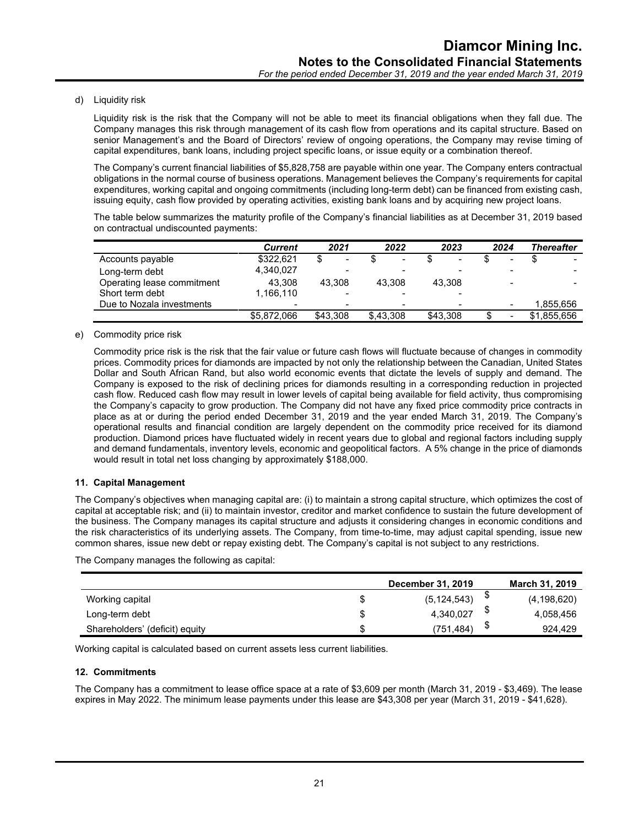d) Liquidity risk

Liquidity risk is the risk that the Company will not be able to meet its financial obligations when they fall due. The Company manages this risk through management of its cash flow from operations and its capital structure. Based on senior Management's and the Board of Directors' review of ongoing operations, the Company may revise timing of capital expenditures, bank loans, including project specific loans, or issue equity or a combination thereof.

The Company's current financial liabilities of \$5,828,758 are payable within one year. The Company enters contractual obligations in the normal course of business operations. Management believes the Company's requirements for capital expenditures, working capital and ongoing commitments (including long-term debt) can be financed from existing cash, issuing equity, cash flow provided by operating activities, existing bank loans and by acquiring new project loans.

The table below summarizes the maturity profile of the Company's financial liabilities as at December 31, 2019 based on contractual undiscounted payments:

|                            | <b>Current</b> | 2021                 | 2022      | 2023            | 2024            | <b>Thereafter</b> |
|----------------------------|----------------|----------------------|-----------|-----------------|-----------------|-------------------|
| Accounts payable           | \$322.621      | \$<br>$\blacksquare$ | -         | $\qquad \qquad$ | $\qquad \qquad$ | -                 |
| Long-term debt             | 4,340,027      | $\,$                 | $\,$      |                 |                 | $\,$              |
| Operating lease commitment | 43.308         | 43.308               | 43.308    | 43.308          |                 |                   |
| Short term debt            | 1,166,110      | ۰                    |           |                 |                 |                   |
| Due to Nozala investments  |                |                      | -         |                 |                 | 1,855,656         |
|                            | \$5,872,066    | \$43,308             | \$,43,308 | \$43,308        |                 | \$1,855,656       |

e) Commodity price risk

Commodity price risk is the risk that the fair value or future cash flows will fluctuate because of changes in commodity prices. Commodity prices for diamonds are impacted by not only the relationship between the Canadian, United States Dollar and South African Rand, but also world economic events that dictate the levels of supply and demand. The Company is exposed to the risk of declining prices for diamonds resulting in a corresponding reduction in projected cash flow. Reduced cash flow may result in lower levels of capital being available for field activity, thus compromising the Company's capacity to grow production. The Company did not have any fixed price commodity price contracts in place as at or during the period ended December 31, 2019 and the year ended March 31, 2019. The Company's operational results and financial condition are largely dependent on the commodity price received for its diamond production. Diamond prices have fluctuated widely in recent years due to global and regional factors including supply and demand fundamentals, inventory levels, economic and geopolitical factors. A 5% change in the price of diamonds would result in total net loss changing by approximately \$188,000.

# **11. Capital Management**

The Company's objectives when managing capital are: (i) to maintain a strong capital structure, which optimizes the cost of capital at acceptable risk; and (ii) to maintain investor, creditor and market confidence to sustain the future development of the business. The Company manages its capital structure and adjusts it considering changes in economic conditions and the risk characteristics of its underlying assets. The Company, from time-to-time, may adjust capital spending, issue new common shares, issue new debt or repay existing debt. The Company's capital is not subject to any restrictions.

The Company manages the following as capital:

|                                | December 31, 2019 | <b>March 31, 2019</b> |
|--------------------------------|-------------------|-----------------------|
| Working capital                | (5, 124, 543)     | (4, 198, 620)         |
| Long-term debt                 | 4,340,027         | 4,058,456             |
| Shareholders' (deficit) equity | (751, 484)        | 924.429               |

Working capital is calculated based on current assets less current liabilities.

#### **12. Commitments**

The Company has a commitment to lease office space at a rate of \$3,609 per month (March 31, 2019 - \$3,469). The lease expires in May 2022. The minimum lease payments under this lease are \$43,308 per year (March 31, 2019 - \$41,628).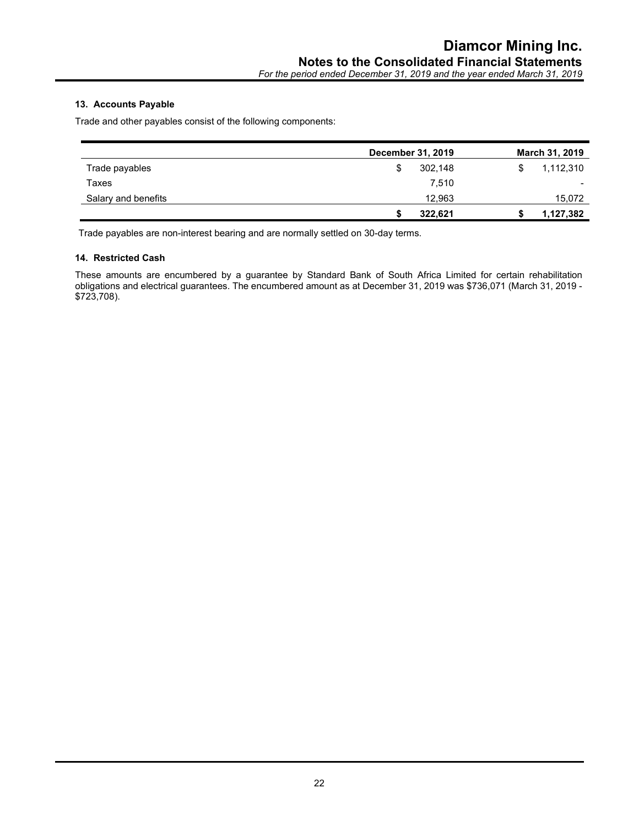# **13. Accounts Payable**

Trade and other payables consist of the following components:

|                     | December 31, 2019 | March 31, 2019 |                          |
|---------------------|-------------------|----------------|--------------------------|
| Trade payables      | S                 | 302.148        | 1,112,310<br>э           |
| Taxes               |                   | 7.510          | $\overline{\phantom{a}}$ |
| Salary and benefits |                   | 12,963         | 15,072                   |
|                     |                   | 322.621        | 1,127,382                |

Trade payables are non-interest bearing and are normally settled on 30-day terms.

# **14. Restricted Cash**

These amounts are encumbered by a guarantee by Standard Bank of South Africa Limited for certain rehabilitation obligations and electrical guarantees. The encumbered amount as at December 31, 2019 was \$736,071 (March 31, 2019 - \$723,708).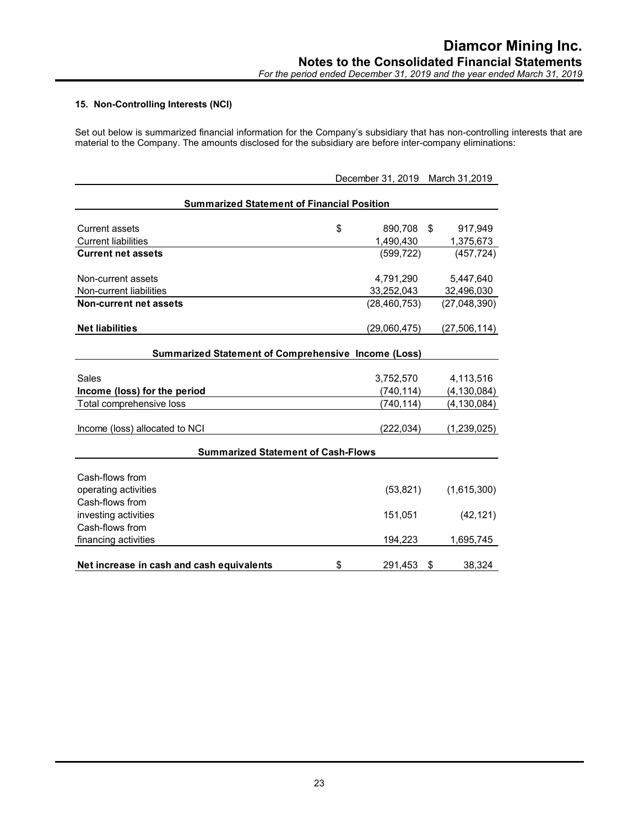# **15. Non-Controlling Interests (NCI)**

Set out below is summarized financial information for the Company's subsidiary that has non-controlling interests that are material to the Company. The amounts disclosed for the subsidiary are before inter-company eliminations:

|                                                     | December 31, 2019 |                |    | March 31,2019 |  |
|-----------------------------------------------------|-------------------|----------------|----|---------------|--|
| <b>Summarized Statement of Financial Position</b>   |                   |                |    |               |  |
|                                                     |                   |                |    |               |  |
| <b>Current assets</b>                               | \$                | 890,708        | \$ | 917,949       |  |
| <b>Current liabilities</b>                          |                   | 1,490,430      |    | 1,375,673     |  |
| <b>Current net assets</b>                           |                   | (599, 722)     |    | (457, 724)    |  |
|                                                     |                   |                |    |               |  |
| Non-current assets                                  |                   | 4,791,290      |    | 5,447,640     |  |
| Non-current liabilities                             |                   | 33,252,043     |    | 32,496,030    |  |
| <b>Non-current net assets</b>                       |                   | (28, 460, 753) |    | (27,048,390)  |  |
| <b>Net liabilities</b>                              |                   | (29,060,475)   |    | (27,506,114)  |  |
| Summarized Statement of Comprehensive Income (Loss) |                   |                |    |               |  |
|                                                     |                   |                |    |               |  |
| Sales                                               |                   | 3,752,570      |    | 4,113,516     |  |
| Income (loss) for the period                        |                   | (740, 114)     |    | (4, 130, 084) |  |
| Total comprehensive loss                            |                   | (740,114)      |    | (4,130,084)   |  |
| Income (loss) allocated to NCI                      |                   | (222, 034)     |    | (1,239,025)   |  |
| <b>Summarized Statement of Cash-Flows</b>           |                   |                |    |               |  |
|                                                     |                   |                |    |               |  |
| Cash-flows from                                     |                   |                |    |               |  |
| operating activities                                |                   | (53, 821)      |    | (1,615,300)   |  |
| Cash-flows from                                     |                   |                |    |               |  |
| investing activities                                |                   | 151,051        |    | (42, 121)     |  |
| Cash-flows from                                     |                   |                |    |               |  |
| financing activities                                |                   | 194,223        |    | 1,695,745     |  |
| Net increase in cash and cash equivalents           | \$                | 291,453        | \$ | 38,324        |  |